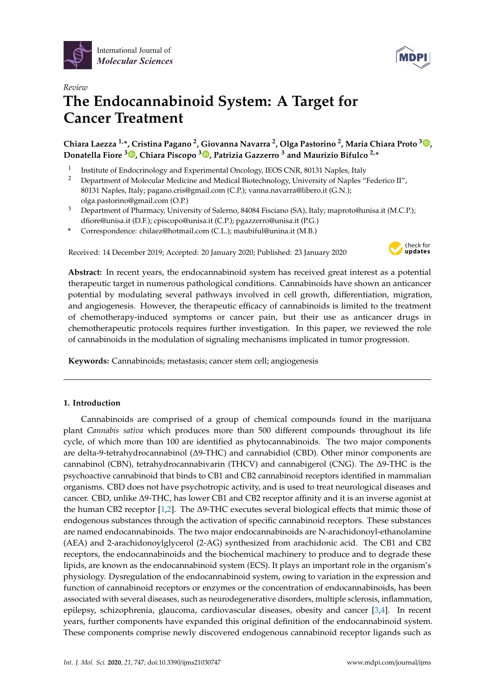



# *Review* **The Endocannabinoid System: A Target for Cancer Treatment**

**Chiara Laezza 1,\*, Cristina Pagano <sup>2</sup> , Giovanna Navarra <sup>2</sup> , Olga Pastorino <sup>2</sup> , Maria Chiara Proto [3](https://orcid.org/0000-0002-7066-174X) , Donatella Fiore <sup>3</sup> [,](https://orcid.org/0000-0002-0703-7231) Chiara Piscopo <sup>3</sup> [,](https://orcid.org/0000-0001-8013-8541) Patrizia Gazzerro <sup>3</sup> and Maurizio Bifulco 2,\***

- 1 Institute of Endocrinology and Experimental Oncology, IEOS CNR, 80131 Naples, Italy
- <sup>2</sup> Department of Molecular Medicine and Medical Biotechnology, University of Naples "Federico II", 80131 Naples, Italy; pagano.cris@gmail.com (C.P.); vanna.navarra@libero.it (G.N.); olga.pastorino@gmail.com (O.P.)
- <sup>3</sup> Department of Pharmacy, University of Salerno, 84084 Fisciano (SA), Italy; maproto@unisa.it (M.C.P.); dfiore@unisa.it (D.F.); cpiscopo@unisa.it (C.P.); pgazzerro@unisa.it (P.G.)
- **\*** Correspondence: chilaez@hotmail.com (C.L.); maubiful@unina.it (M.B.)

Received: 14 December 2019; Accepted: 20 January 2020; Published: 23 January 2020



**Abstract:** In recent years, the endocannabinoid system has received great interest as a potential therapeutic target in numerous pathological conditions. Cannabinoids have shown an anticancer potential by modulating several pathways involved in cell growth, differentiation, migration, and angiogenesis. However, the therapeutic efficacy of cannabinoids is limited to the treatment of chemotherapy-induced symptoms or cancer pain, but their use as anticancer drugs in chemotherapeutic protocols requires further investigation. In this paper, we reviewed the role of cannabinoids in the modulation of signaling mechanisms implicated in tumor progression.

**Keywords:** Cannabinoids; metastasis; cancer stem cell; angiogenesis

## **1. Introduction**

Cannabinoids are comprised of a group of chemical compounds found in the marijuana plant *Cannabis sativa* which produces more than 500 different compounds throughout its life cycle, of which more than 100 are identified as phytocannabinoids. The two major components are delta-9-tetrahydrocannabinol (∆9-THC) and cannabidiol (CBD). Other minor components are cannabinol (CBN), tetrahydrocannabivarin (THCV) and cannabigerol (CNG). The ∆9-THC is the psychoactive cannabinoid that binds to CB1 and CB2 cannabinoid receptors identified in mammalian organisms. CBD does not have psychotropic activity, and is used to treat neurological diseases and cancer. CBD, unlike ∆9-THC, has lower CB1 and CB2 receptor affinity and it is an inverse agonist at the human CB2 receptor [\[1](#page-13-0)[,2\]](#page-14-0). The ∆9-THC executes several biological effects that mimic those of endogenous substances through the activation of specific cannabinoid receptors. These substances are named endocannabinoids. The two major endocannabinoids are N-arachidonoyl-ethanolamine (AEA) and 2-arachidonoylglycerol (2-AG) synthesized from arachidonic acid. The CB1 and CB2 receptors, the endocannabinoids and the biochemical machinery to produce and to degrade these lipids, are known as the endocannabinoid system (ECS). It plays an important role in the organism's physiology. Dysregulation of the endocannabinoid system, owing to variation in the expression and function of cannabinoid receptors or enzymes or the concentration of endocannabinoids, has been associated with several diseases, such as neurodegenerative disorders, multiple sclerosis, inflammation, epilepsy, schizophrenia, glaucoma, cardiovascular diseases, obesity and cancer [\[3,](#page-14-1)[4\]](#page-14-2). In recent years, further components have expanded this original definition of the endocannabinoid system. These components comprise newly discovered endogenous cannabinoid receptor ligands such as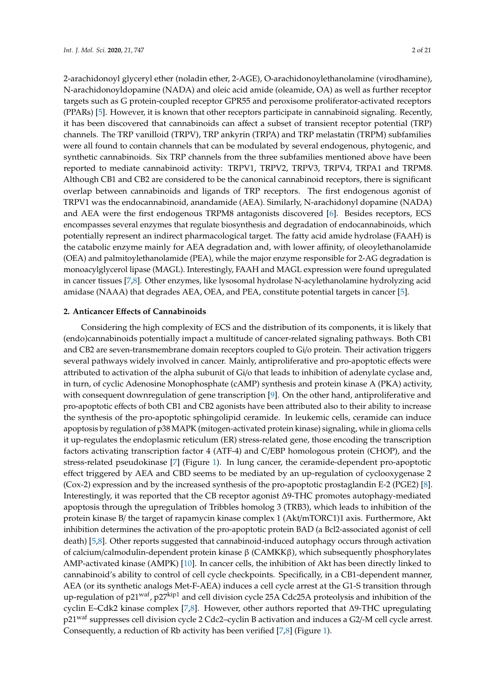2-arachidonoyl glyceryl ether (noladin ether, 2-AGE), O-arachidonoylethanolamine (virodhamine), N-arachidonoyldopamine (NADA) and oleic acid amide (oleamide, OA) as well as further receptor targets such as G protein-coupled receptor GPR55 and peroxisome proliferator-activated receptors (PPARs) [\[5\]](#page-14-3). However, it is known that other receptors participate in cannabinoid signaling. Recently, it has been discovered that cannabinoids can affect a subset of transient receptor potential (TRP) channels. The TRP vanilloid (TRPV), TRP ankyrin (TRPA) and TRP melastatin (TRPM) subfamilies were all found to contain channels that can be modulated by several endogenous, phytogenic, and synthetic cannabinoids. Six TRP channels from the three subfamilies mentioned above have been reported to mediate cannabinoid activity: TRPV1, TRPV2, TRPV3, TRPV4, TRPA1 and TRPM8. Although CB1 and CB2 are considered to be the canonical cannabinoid receptors, there is significant overlap between cannabinoids and ligands of TRP receptors. The first endogenous agonist of TRPV1 was the endocannabinoid, anandamide (AEA). Similarly, N-arachidonyl dopamine (NADA) and AEA were the first endogenous TRPM8 antagonists discovered [\[6\]](#page-14-4). Besides receptors, ECS encompasses several enzymes that regulate biosynthesis and degradation of endocannabinoids, which potentially represent an indirect pharmacological target. The fatty acid amide hydrolase (FAAH) is the catabolic enzyme mainly for AEA degradation and, with lower affinity, of oleoylethanolamide (OEA) and palmitoylethanolamide (PEA), while the major enzyme responsible for 2-AG degradation is monoacylglycerol lipase (MAGL). Interestingly, FAAH and MAGL expression were found upregulated in cancer tissues [\[7,](#page-14-5)[8\]](#page-14-6). Other enzymes, like lysosomal hydrolase N-acylethanolamine hydrolyzing acid amidase (NAAA) that degrades AEA, OEA, and PEA, constitute potential targets in cancer [\[5\]](#page-14-3).

#### **2. Anticancer E**ff**ects of Cannabinoids**

Considering the high complexity of ECS and the distribution of its components, it is likely that (endo)cannabinoids potentially impact a multitude of cancer-related signaling pathways. Both CB1 and CB2 are seven-transmembrane domain receptors coupled to Gi/o protein. Their activation triggers several pathways widely involved in cancer. Mainly, antiproliferative and pro-apoptotic effects were attributed to activation of the alpha subunit of Gi/o that leads to inhibition of adenylate cyclase and, in turn, of cyclic Adenosine Monophosphate (cAMP) synthesis and protein kinase A (PKA) activity, with consequent downregulation of gene transcription [\[9\]](#page-14-7). On the other hand, antiproliferative and pro-apoptotic effects of both CB1 and CB2 agonists have been attributed also to their ability to increase the synthesis of the pro-apoptotic sphingolipid ceramide. In leukemic cells, ceramide can induce apoptosis by regulation of p38 MAPK (mitogen-activated protein kinase) signaling, while in glioma cells it up-regulates the endoplasmic reticulum (ER) stress-related gene, those encoding the transcription factors activating transcription factor 4 (ATF-4) and C/EBP homologous protein (CHOP), and the stress-related pseudokinase [\[7\]](#page-14-5) (Figure [1\)](#page-2-0). In lung cancer, the ceramide-dependent pro-apoptotic effect triggered by AEA and CBD seems to be mediated by an up-regulation of cyclooxygenase 2 (Cox-2) expression and by the increased synthesis of the pro-apoptotic prostaglandin E-2 (PGE2) [\[8\]](#page-14-6). Interestingly, it was reported that the CB receptor agonist ∆9-THC promotes autophagy-mediated apoptosis through the upregulation of Tribbles homolog 3 (TRB3), which leads to inhibition of the protein kinase B/ the target of rapamycin kinase complex 1 (Akt/mTORC1)1 axis. Furthermore, Akt inhibition determines the activation of the pro-apoptotic protein BAD (a Bcl2-associated agonist of cell death) [\[5](#page-14-3)[,8\]](#page-14-6). Other reports suggested that cannabinoid-induced autophagy occurs through activation of calcium/calmodulin-dependent protein kinase β (CAMKKβ), which subsequently phosphorylates AMP-activated kinase (AMPK) [\[10\]](#page-14-8). In cancer cells, the inhibition of Akt has been directly linked to cannabinoid's ability to control of cell cycle checkpoints. Specifically, in a CB1-dependent manner, AEA (or its synthetic analogs Met-F-AEA) induces a cell cycle arrest at the G1-S transition through up-regulation of  $p21<sup>wat</sup>$ ,  $p27<sup>kip1</sup>$  and cell division cycle 25A Cdc25A proteolysis and inhibition of the cyclin E–Cdk2 kinase complex [\[7,](#page-14-5)[8\]](#page-14-6). However, other authors reported that ∆9-THC upregulating p21waf suppresses cell division cycle 2 Cdc2–cyclin B activation and induces a G2/-M cell cycle arrest. Consequently, a reduction of Rb activity has been verified [\[7](#page-14-5)[,8\]](#page-14-6) (Figure [1\)](#page-2-0).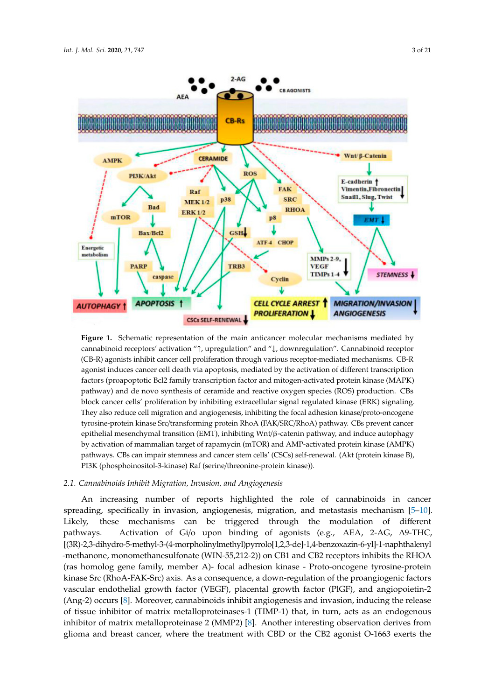<span id="page-2-0"></span>

**Figure 1.** Schematic representation of the main anticancer molecular mechanisms mediated by cannabinoid receptors' activation "↑, upregulation" and "↓, downregulation". Cannabinoid receptor (CB-R) agonists inhibit cancer cell proliferation through various receptor-mediated mechanisms. CB-R agonist induces cancer cell death via apoptosis, mediated by the activation of different transcription factors (proapoptotic Bcl2 family transcription factor and mitogen-activated protein kinase (MAPK) pathway) and de novo synthesis of ceramide and reactive oxygen species (ROS) production. CBs block cancer cells' proliferation by inhibiting extracellular signal regulated kinase (ERK) signaling. They also reduce cell migration and angiogenesis, inhibiting the focal adhesion kinase/proto-oncogene tyrosine-protein kinase Src/transforming protein RhoA (FAK/SRC/RhoA) pathway. CBs prevent cancer epithelial mesenchymal transition (EMT), inhibiting Wnt/β-catenin pathway, and induce autophagy by activation of mammalian target of rapamycin (mTOR) and AMP-activated protein kinase (AMPK) pathways. CBs can impair stemness and cancer stem cells' (CSCs) self-renewal. (Akt (protein kinase B), PI3K (phosphoinositol-3-kinase) Raf (serine/threonine-protein kinase)).

## *2.1. Cannabinoids Inhibit Migration, Invasion, and Angiogenesis*

An increasing number of reports highlighted the role of cannabinoids in cancer spreading, specifically in invasion, angiogenesis, migration, and metastasis mechanism [\[5–](#page-14-3)[10\]](#page-14-8). Likely, these mechanisms can be triggered through the modulation of different pathways. Activation of Gi/o upon binding of agonists (e.g., AEA, 2-AG, ∆9-THC, [(3R)-2,3-dihydro-5-methyl-3-(4-morpholinylmethyl)pyrrolo[1,2,3-de]-1,4-benzoxazin-6-yl]-1-naphthalenyl -methanone, monomethanesulfonate (WIN-55,212-2)) on CB1 and CB2 receptors inhibits the RHOA (ras homolog gene family, member A)- focal adhesion kinase - Proto-oncogene tyrosine-protein kinase Src (RhoA-FAK-Src) axis. As a consequence, a down-regulation of the proangiogenic factors vascular endothelial growth factor (VEGF), placental growth factor (PlGF), and angiopoietin-2 (Ang-2) occurs [\[8\]](#page-14-6). Moreover, cannabinoids inhibit angiogenesis and invasion, inducing the release of tissue inhibitor of matrix metalloproteinases-1 (TIMP-1) that, in turn, acts as an endogenous inhibitor of matrix metalloproteinase 2 (MMP2) [\[8\]](#page-14-6). Another interesting observation derives from glioma and breast cancer, where the treatment with CBD or the CB2 agonist O-1663 exerts the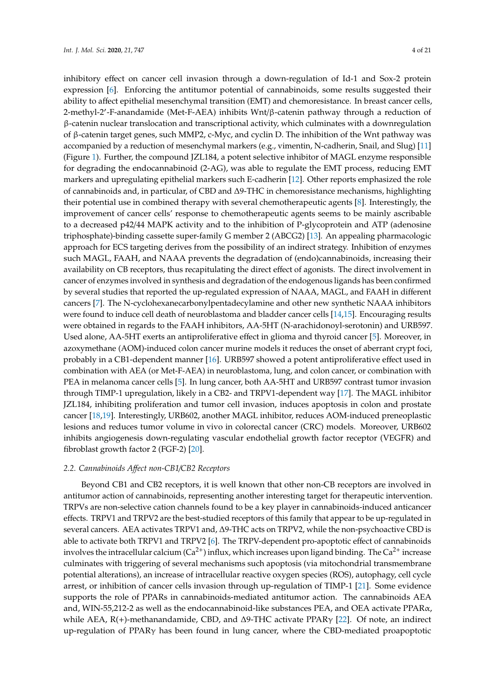inhibitory effect on cancer cell invasion through a down-regulation of Id-1 and Sox-2 protein expression [\[6\]](#page-14-4). Enforcing the antitumor potential of cannabinoids, some results suggested their ability to affect epithelial mesenchymal transition (EMT) and chemoresistance. In breast cancer cells, 2-methyl-2'-F-anandamide (Met-F-AEA) inhibits Wnt/β-catenin pathway through a reduction of β-catenin nuclear translocation and transcriptional activity, which culminates with a downregulation of β-catenin target genes, such MMP2, c-Myc, and cyclin D. The inhibition of the Wnt pathway was accompanied by a reduction of mesenchymal markers (e.g., vimentin, N-cadherin, Snail, and Slug) [\[11\]](#page-14-9) (Figure [1\)](#page-2-0). Further, the compound JZL184, a potent selective inhibitor of MAGL enzyme responsible for degrading the endocannabinoid (2-AG), was able to regulate the EMT process, reducing EMT markers and upregulating epithelial markers such E-cadherin [\[12\]](#page-14-10). Other reports emphasized the role of cannabinoids and, in particular, of CBD and ∆9-THC in chemoresistance mechanisms, highlighting their potential use in combined therapy with several chemotherapeutic agents [\[8\]](#page-14-6). Interestingly, the improvement of cancer cells' response to chemotherapeutic agents seems to be mainly ascribable to a decreased p42/44 MAPK activity and to the inhibition of P-glycoprotein and ATP (adenosine triphosphate)-binding cassette super-family G member 2 (ABCG2) [\[13\]](#page-14-11). An appealing pharmacologic approach for ECS targeting derives from the possibility of an indirect strategy. Inhibition of enzymes such MAGL, FAAH, and NAAA prevents the degradation of (endo)cannabinoids, increasing their availability on CB receptors, thus recapitulating the direct effect of agonists. The direct involvement in cancer of enzymes involved in synthesis and degradation of the endogenous ligands has been confirmed by several studies that reported the up-regulated expression of NAAA, MAGL, and FAAH in different cancers [\[7\]](#page-14-5). The N-cyclohexanecarbonylpentadecylamine and other new synthetic NAAA inhibitors were found to induce cell death of neuroblastoma and bladder cancer cells [\[14](#page-14-12)[,15\]](#page-14-13). Encouraging results were obtained in regards to the FAAH inhibitors, AA-5HT (N-arachidonoyl-serotonin) and URB597. Used alone, AA-5HT exerts an antiproliferative effect in glioma and thyroid cancer [\[5\]](#page-14-3). Moreover, in azoxymethane (AOM)-induced colon cancer murine models it reduces the onset of aberrant crypt foci, probably in a CB1-dependent manner [\[16\]](#page-14-14). URB597 showed a potent antiproliferative effect used in combination with AEA (or Met-F-AEA) in neuroblastoma, lung, and colon cancer, or combination with PEA in melanoma cancer cells [\[5\]](#page-14-3). In lung cancer, both AA-5HT and URB597 contrast tumor invasion through TIMP-1 upregulation, likely in a CB2- and TRPV1-dependent way [\[17\]](#page-14-15). The MAGL inhibitor JZL184, inhibiting proliferation and tumor cell invasion, induces apoptosis in colon and prostate cancer [\[18,](#page-14-16)[19\]](#page-14-17). Interestingly, URB602, another MAGL inhibitor, reduces AOM-induced preneoplastic lesions and reduces tumor volume in vivo in colorectal cancer (CRC) models. Moreover, URB602 inhibits angiogenesis down-regulating vascular endothelial growth factor receptor (VEGFR) and fibroblast growth factor 2 (FGF-2) [\[20\]](#page-14-18).

### *2.2. Cannabinoids A*ff*ect non-CB1*/*CB2 Receptors*

Beyond CB1 and CB2 receptors, it is well known that other non-CB receptors are involved in antitumor action of cannabinoids, representing another interesting target for therapeutic intervention. TRPVs are non-selective cation channels found to be a key player in cannabinoids-induced anticancer effects. TRPV1 and TRPV2 are the best-studied receptors of this family that appear to be up-regulated in several cancers. AEA activates TRPV1 and, ∆9-THC acts on TRPV2, while the non-psychoactive CBD is able to activate both TRPV1 and TRPV2 [\[6\]](#page-14-4). The TRPV-dependent pro-apoptotic effect of cannabinoids involves the intracellular calcium ( $Ca^{2+}$ ) influx, which increases upon ligand binding. The  $Ca^{2+}$  increase culminates with triggering of several mechanisms such apoptosis (via mitochondrial transmembrane potential alterations), an increase of intracellular reactive oxygen species (ROS), autophagy, cell cycle arrest, or inhibition of cancer cells invasion through up-regulation of TIMP-1 [\[21\]](#page-14-19). Some evidence supports the role of PPARs in cannabinoids-mediated antitumor action. The cannabinoids AEA and, WIN-55,212-2 as well as the endocannabinoid-like substances PEA, and OEA activate PPAR $\alpha$ , while AEA, R(+)-methanandamide, CBD, and  $Δ9-THC$  activate PPAR $γ$  [\[22\]](#page-14-20). Of note, an indirect up-regulation of PPARγ has been found in lung cancer, where the CBD-mediated proapoptotic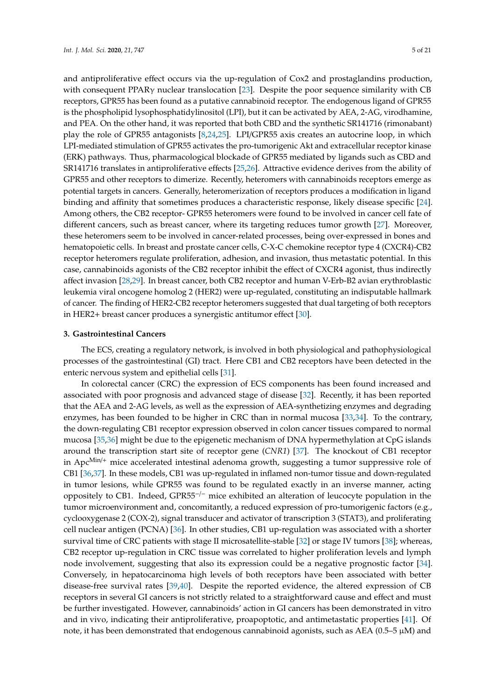and antiproliferative effect occurs via the up-regulation of Cox2 and prostaglandins production, with consequent PPARγ nuclear translocation [\[23\]](#page-14-21). Despite the poor sequence similarity with CB receptors, GPR55 has been found as a putative cannabinoid receptor. The endogenous ligand of GPR55 is the phospholipid lysophosphatidylinositol (LPI), but it can be activated by AEA, 2-AG, virodhamine, and PEA. On the other hand, it was reported that both CBD and the synthetic SR141716 (rimonabant) play the role of GPR55 antagonists [\[8,](#page-14-6)[24,](#page-14-22)[25\]](#page-15-0). LPI/GPR55 axis creates an autocrine loop, in which LPI-mediated stimulation of GPR55 activates the pro-tumorigenic Akt and extracellular receptor kinase (ERK) pathways. Thus, pharmacological blockade of GPR55 mediated by ligands such as CBD and SR141716 translates in antiproliferative effects [\[25](#page-15-0)[,26\]](#page-15-1). Attractive evidence derives from the ability of GPR55 and other receptors to dimerize. Recently, heteromers with cannabinoids receptors emerge as potential targets in cancers. Generally, heteromerization of receptors produces a modification in ligand binding and affinity that sometimes produces a characteristic response, likely disease specific [\[24\]](#page-14-22). Among others, the CB2 receptor- GPR55 heteromers were found to be involved in cancer cell fate of different cancers, such as breast cancer, where its targeting reduces tumor growth [\[27\]](#page-15-2). Moreover, these heteromers seem to be involved in cancer-related processes, being over-expressed in bones and hematopoietic cells. In breast and prostate cancer cells, C-X-C chemokine receptor type 4 (CXCR4)-CB2 receptor heteromers regulate proliferation, adhesion, and invasion, thus metastatic potential. In this case, cannabinoids agonists of the CB2 receptor inhibit the effect of CXCR4 agonist, thus indirectly affect invasion [\[28](#page-15-3)[,29\]](#page-15-4). In breast cancer, both CB2 receptor and human V-Erb-B2 avian erythroblastic leukemia viral oncogene homolog 2 (HER2) were up-regulated, constituting an indisputable hallmark of cancer. The finding of HER2-CB2 receptor heteromers suggested that dual targeting of both receptors in HER2+ breast cancer produces a synergistic antitumor effect [\[30\]](#page-15-5).

#### **3. Gastrointestinal Cancers**

The ECS, creating a regulatory network, is involved in both physiological and pathophysiological processes of the gastrointestinal (GI) tract. Here CB1 and CB2 receptors have been detected in the enteric nervous system and epithelial cells [\[31\]](#page-15-6).

In colorectal cancer (CRC) the expression of ECS components has been found increased and associated with poor prognosis and advanced stage of disease [\[32\]](#page-15-7). Recently, it has been reported that the AEA and 2-AG levels, as well as the expression of AEA-synthetizing enzymes and degrading enzymes, has been founded to be higher in CRC than in normal mucosa [\[33,](#page-15-8)[34\]](#page-15-9). To the contrary, the down-regulating CB1 receptor expression observed in colon cancer tissues compared to normal mucosa [\[35](#page-15-10)[,36\]](#page-15-11) might be due to the epigenetic mechanism of DNA hypermethylation at CpG islands around the transcription start site of receptor gene (*CNR1*) [\[37\]](#page-15-12). The knockout of CB1 receptor in Apc<sup>Min/+</sup> mice accelerated intestinal adenoma growth, suggesting a tumor suppressive role of CB1 [\[36](#page-15-11)[,37\]](#page-15-12). In these models, CB1 was up-regulated in inflamed non-tumor tissue and down-regulated in tumor lesions, while GPR55 was found to be regulated exactly in an inverse manner, acting oppositely to CB1. Indeed, GPR55−/<sup>−</sup> mice exhibited an alteration of leucocyte population in the tumor microenvironment and, concomitantly, a reduced expression of pro-tumorigenic factors (e.g., cyclooxygenase 2 (COX-2), signal transducer and activator of transcription 3 (STAT3), and proliferating cell nuclear antigen (PCNA) [\[36\]](#page-15-11). In other studies, CB1 up-regulation was associated with a shorter survival time of CRC patients with stage II microsatellite-stable [\[32\]](#page-15-7) or stage IV tumors [\[38\]](#page-15-13); whereas, CB2 receptor up-regulation in CRC tissue was correlated to higher proliferation levels and lymph node involvement, suggesting that also its expression could be a negative prognostic factor [\[34\]](#page-15-9). Conversely, in hepatocarcinoma high levels of both receptors have been associated with better disease-free survival rates [\[39,](#page-15-14)[40\]](#page-15-15). Despite the reported evidence, the altered expression of CB receptors in several GI cancers is not strictly related to a straightforward cause and effect and must be further investigated. However, cannabinoids' action in GI cancers has been demonstrated in vitro and in vivo, indicating their antiproliferative, proapoptotic, and antimetastatic properties [\[41\]](#page-15-16). Of note, it has been demonstrated that endogenous cannabinoid agonists, such as AEA ( $0.5-5 \mu M$ ) and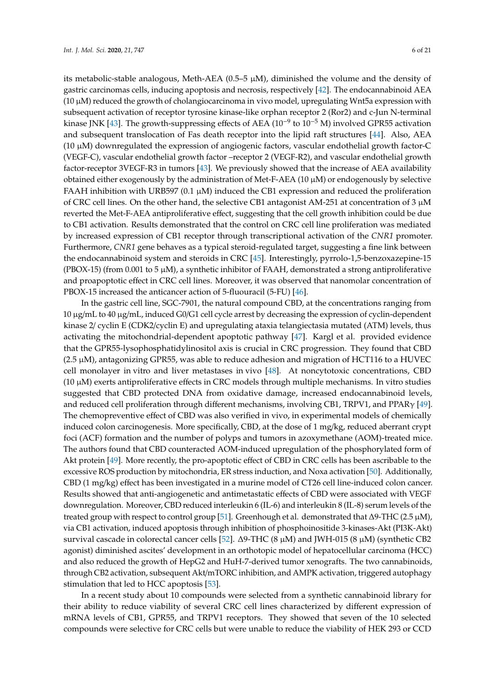its metabolic-stable analogous, Meth-AEA  $(0.5-5 \mu M)$ , diminished the volume and the density of gastric carcinomas cells, inducing apoptosis and necrosis, respectively [\[42\]](#page-15-17). The endocannabinoid AEA (10 µM) reduced the growth of cholangiocarcinoma in vivo model, upregulating Wnt5a expression with subsequent activation of receptor tyrosine kinase-like orphan receptor 2 (Ror2) and c-Jun N-terminal kinase JNK [\[43\]](#page-16-0). The growth-suppressing effects of AEA (10−<sup>9</sup> to 10−<sup>5</sup> M) involved GPR55 activation and subsequent translocation of Fas death receptor into the lipid raft structures [\[44\]](#page-16-1). Also, AEA  $(10 \mu M)$  downregulated the expression of angiogenic factors, vascular endothelial growth factor-C (VEGF-C), vascular endothelial growth factor –receptor 2 (VEGF-R2), and vascular endothelial growth factor-receptor 3VEGF-R3 in tumors [\[43\]](#page-16-0). We previously showed that the increase of AEA availability obtained either exogenously by the administration of Met-F-AEA (10  $\mu$ M) or endogenously by selective FAAH inhibition with URB597 (0.1  $\mu$ M) induced the CB1 expression and reduced the proliferation of CRC cell lines. On the other hand, the selective CB1 antagonist AM-251 at concentration of 3  $\mu$ M reverted the Met-F-AEA antiproliferative effect, suggesting that the cell growth inhibition could be due to CB1 activation. Results demonstrated that the control on CRC cell line proliferation was mediated by increased expression of CB1 receptor through transcriptional activation of the *CNR1* promoter. Furthermore, *CNR1* gene behaves as a typical steroid-regulated target, suggesting a fine link between the endocannabinoid system and steroids in CRC [\[45\]](#page-16-2). Interestingly, pyrrolo-1,5-benzoxazepine-15 (PBOX-15) (from 0.001 to 5  $\mu$ M), a synthetic inhibitor of FAAH, demonstrated a strong antiproliferative and proapoptotic effect in CRC cell lines. Moreover, it was observed that nanomolar concentration of PBOX-15 increased the anticancer action of 5-fluouracil (5-FU) [\[46\]](#page-16-3).

In the gastric cell line, SGC-7901, the natural compound CBD, at the concentrations ranging from 10 µg/mL to 40 µg/mL, induced G0/G1 cell cycle arrest by decreasing the expression of cyclin-dependent kinase 2/ cyclin E (CDK2/cyclin E) and upregulating ataxia telangiectasia mutated (ATM) levels, thus activating the mitochondrial-dependent apoptotic pathway [\[47\]](#page-16-4). Kargl et al. provided evidence that the GPR55-lysophosphatidylinositol axis is crucial in CRC progression. They found that CBD (2.5 µM), antagonizing GPR55, was able to reduce adhesion and migration of HCT116 to a HUVEC cell monolayer in vitro and liver metastases in vivo [\[48\]](#page-16-5). At noncytotoxic concentrations, CBD  $(10 \mu M)$  exerts antiproliferative effects in CRC models through multiple mechanisms. In vitro studies suggested that CBD protected DNA from oxidative damage, increased endocannabinoid levels, and reduced cell proliferation through different mechanisms, involving CB1, TRPV1, and PPARγ [\[49\]](#page-16-6). The chemopreventive effect of CBD was also verified in vivo, in experimental models of chemically induced colon carcinogenesis. More specifically, CBD, at the dose of 1 mg/kg, reduced aberrant crypt foci (ACF) formation and the number of polyps and tumors in azoxymethane (AOM)-treated mice. The authors found that CBD counteracted AOM-induced upregulation of the phosphorylated form of Akt protein [\[49\]](#page-16-6). More recently, the pro-apoptotic effect of CBD in CRC cells has been ascribable to the excessive ROS production by mitochondria, ER stress induction, and Noxa activation [\[50\]](#page-16-7). Additionally, CBD (1 mg/kg) effect has been investigated in a murine model of CT26 cell line-induced colon cancer. Results showed that anti-angiogenetic and antimetastatic effects of CBD were associated with VEGF downregulation. Moreover, CBD reduced interleukin 6 (IL-6) and interleukin 8 (IL-8) serum levels of the treated group with respect to control group [\[51\]](#page-16-8). Greenhough et al. demonstrated that Δ9-THC (2.5 μM), via CB1 activation, induced apoptosis through inhibition of phosphoinositide 3-kinases-Akt (PI3K-Akt) survival cascade in colorectal cancer cells [\[52\]](#page-16-9). ∆9-THC (8 µM) and JWH-015 (8 µM) (synthetic CB2 agonist) diminished ascites' development in an orthotopic model of hepatocellular carcinoma (HCC) and also reduced the growth of HepG2 and HuH-7-derived tumor xenografts. The two cannabinoids, through CB2 activation, subsequent Akt/mTORC inhibition, and AMPK activation, triggered autophagy stimulation that led to HCC apoptosis [\[53\]](#page-16-10).

In a recent study about 10 compounds were selected from a synthetic cannabinoid library for their ability to reduce viability of several CRC cell lines characterized by different expression of mRNA levels of CB1, GPR55, and TRPV1 receptors. They showed that seven of the 10 selected compounds were selective for CRC cells but were unable to reduce the viability of HEK 293 or CCD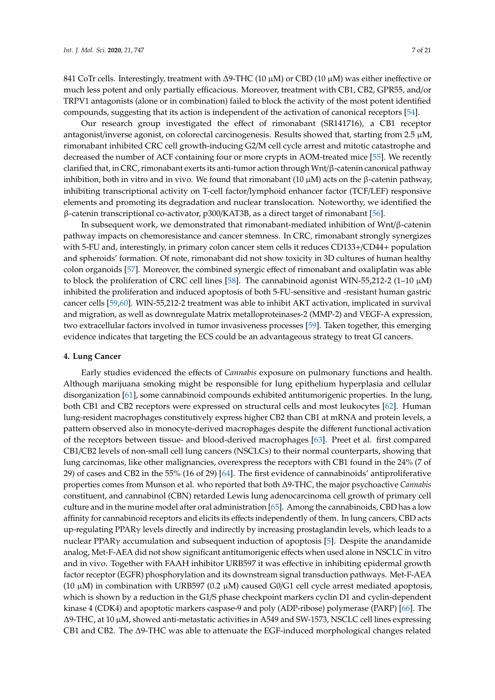841 CoTr cells. Interestingly, treatment with ∆9-THC (10 µM) or CBD (10 µM) was either ineffective or much less potent and only partially efficacious. Moreover, treatment with CB1, CB2, GPR55, and/or TRPV1 antagonists (alone or in combination) failed to block the activity of the most potent identified compounds, suggesting that its action is independent of the activation of canonical receptors [\[54\]](#page-16-11).

Our research group investigated the effect of rimonabant (SR141716), a CB1 receptor antagonist/inverse agonist, on colorectal carcinogenesis. Results showed that, starting from 2.5  $\mu$ M, rimonabant inhibited CRC cell growth-inducing G2/M cell cycle arrest and mitotic catastrophe and decreased the number of ACF containing four or more crypts in AOM-treated mice [\[55\]](#page-16-12). We recently clarified that, in CRC, rimonabant exerts its anti-tumor action through Wnt/β-catenin canonical pathway inhibition, both in vitro and in vivo. We found that rimonabant (10 μM) acts on the β-catenin pathway, inhibiting transcriptional activity on T-cell factor/lymphoid enhancer factor (TCF/LEF) responsive elements and promoting its degradation and nuclear translocation. Noteworthy, we identified the β-catenin transcriptional co-activator, p300/KAT3B, as a direct target of rimonabant [\[56\]](#page-16-13).

In subsequent work, we demonstrated that rimonabant-mediated inhibition of Wnt/β-catenin pathway impacts on chemoresistance and cancer stemness. In CRC, rimonabant strongly synergizes with 5-FU and, interestingly, in primary colon cancer stem cells it reduces CD133+/CD44+ population and spheroids' formation. Of note, rimonabant did not show toxicity in 3D cultures of human healthy colon organoids [\[57\]](#page-16-14). Moreover, the combined synergic effect of rimonabant and oxaliplatin was able to block the proliferation of CRC cell lines [\[58\]](#page-16-15). The cannabinoid agonist WIN-55,212-2 (1–10  $\mu$ M) inhibited the proliferation and induced apoptosis of both 5-FU-sensitive and -resistant human gastric cancer cells [\[59,](#page-16-16)[60\]](#page-16-17). WIN-55,212-2 treatment was able to inhibit AKT activation, implicated in survival and migration, as well as downregulate Matrix metalloproteinases-2 (MMP-2) and VEGF-A expression, two extracellular factors involved in tumor invasiveness processes [\[59\]](#page-16-16). Taken together, this emerging evidence indicates that targeting the ECS could be an advantageous strategy to treat GI cancers.

## **4. Lung Cancer**

Early studies evidenced the effects of *Cannabis* exposure on pulmonary functions and health. Although marijuana smoking might be responsible for lung epithelium hyperplasia and cellular disorganization [\[61\]](#page-17-0), some cannabinoid compounds exhibited antitumorigenic properties. In the lung, both CB1 and CB2 receptors were expressed on structural cells and most leukocytes [\[62\]](#page-17-1). Human lung-resident macrophages constitutively express higher CB2 than CB1 at mRNA and protein levels, a pattern observed also in monocyte-derived macrophages despite the different functional activation of the receptors between tissue- and blood-derived macrophages [\[63\]](#page-17-2). Preet et al. first compared CB1/CB2 levels of non-small cell lung cancers (NSCLCs) to their normal counterparts, showing that lung carcinomas, like other malignancies, overexpress the receptors with CB1 found in the 24% (7 of 29) of cases and CB2 in the 55% (16 of 29) [\[64\]](#page-17-3). The first evidence of cannabinoids' antiproliferative properties comes from Munson et al. who reported that both ∆9-THC, the major psychoactive *Cannabis* constituent, and cannabinol (CBN) retarded Lewis lung adenocarcinoma cell growth of primary cell culture and in the murine model after oral administration [\[65\]](#page-17-4). Among the cannabinoids, CBD has a low affinity for cannabinoid receptors and elicits its effects independently of them. In lung cancers, CBD acts up-regulating PPARγ levels directly and indirectly by increasing prostaglandin levels, which leads to a nuclear PPARγ accumulation and subsequent induction of apoptosis [\[5\]](#page-14-3). Despite the anandamide analog, Met-F-AEA did not show significant antitumorigenic effects when used alone in NSCLC in vitro and in vivo. Together with FAAH inhibitor URB597 it was effective in inhibiting epidermal growth factor receptor (EGFR) phosphorylation and its downstream signal transduction pathways. Met-F-AEA (10  $\mu$ M) in combination with URB597 (0.2  $\mu$ M) caused G0/G1 cell cycle arrest mediated apoptosis, which is shown by a reduction in the G1/S phase checkpoint markers cyclin D1 and cyclin-dependent kinase 4 (CDK4) and apoptotic markers caspase-9 and poly (ADP-ribose) polymerase (PARP) [\[66\]](#page-17-5). The ∆9-THC, at 10 µM, showed anti-metastatic activities in A549 and SW-1573, NSCLC cell lines expressing CB1 and CB2. The ∆9-THC was able to attenuate the EGF-induced morphological changes related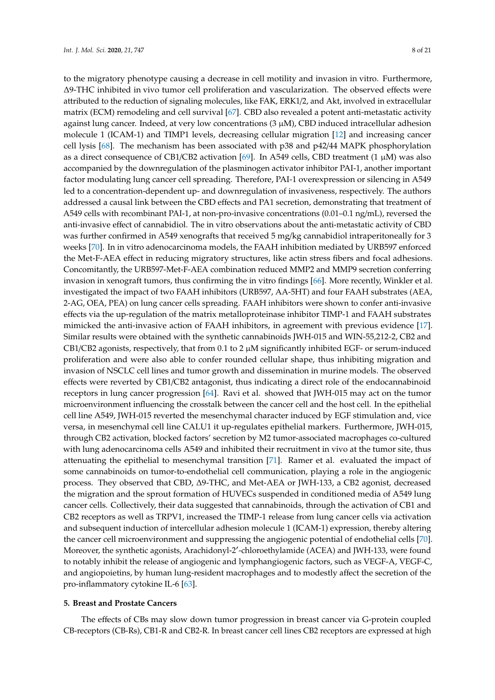to the migratory phenotype causing a decrease in cell motility and invasion in vitro. Furthermore, ∆9-THC inhibited in vivo tumor cell proliferation and vascularization. The observed effects were attributed to the reduction of signaling molecules, like FAK, ERK1/2, and Akt, involved in extracellular matrix (ECM) remodeling and cell survival [\[67\]](#page-17-6). CBD also revealed a potent anti-metastatic activity against lung cancer. Indeed, at very low concentrations  $(3 \mu M)$ , CBD induced intracellular adhesion molecule 1 (ICAM-1) and TIMP1 levels, decreasing cellular migration [\[12\]](#page-14-10) and increasing cancer cell lysis [\[68\]](#page-17-7). The mechanism has been associated with p38 and p42/44 MAPK phosphorylation as a direct consequence of CB1/CB2 activation [\[69\]](#page-17-8). In A549 cells, CBD treatment (1  $\mu$ M) was also accompanied by the downregulation of the plasminogen activator inhibitor PAI-1, another important factor modulating lung cancer cell spreading. Therefore, PAI-1 overexpression or silencing in A549 led to a concentration-dependent up- and downregulation of invasiveness, respectively. The authors addressed a causal link between the CBD effects and PA1 secretion, demonstrating that treatment of A549 cells with recombinant PAI-1, at non-pro-invasive concentrations (0.01–0.1 ng/mL), reversed the anti-invasive effect of cannabidiol. The in vitro observations about the anti-metastatic activity of CBD was further confirmed in A549 xenografts that received 5 mg/kg cannabidiol intraperitoneally for 3 weeks [\[70\]](#page-17-9). In in vitro adenocarcinoma models, the FAAH inhibition mediated by URB597 enforced the Met-F-AEA effect in reducing migratory structures, like actin stress fibers and focal adhesions. Concomitantly, the URB597-Met-F-AEA combination reduced MMP2 and MMP9 secretion conferring invasion in xenograft tumors, thus confirming the in vitro findings [\[66\]](#page-17-5). More recently, Winkler et al. investigated the impact of two FAAH inhibitors (URB597, AA-5HT) and four FAAH substrates (AEA, 2-AG, OEA, PEA) on lung cancer cells spreading. FAAH inhibitors were shown to confer anti-invasive effects via the up-regulation of the matrix metalloproteinase inhibitor TIMP-1 and FAAH substrates mimicked the anti-invasive action of FAAH inhibitors, in agreement with previous evidence [\[17\]](#page-14-15). Similar results were obtained with the synthetic cannabinoids JWH-015 and WIN-55,212-2, CB2 and CB1/CB2 agonists, respectively, that from 0.1 to 2  $\mu$ M significantly inhibited EGF- or serum-induced proliferation and were also able to confer rounded cellular shape, thus inhibiting migration and invasion of NSCLC cell lines and tumor growth and dissemination in murine models. The observed effects were reverted by CB1/CB2 antagonist, thus indicating a direct role of the endocannabinoid receptors in lung cancer progression [\[64\]](#page-17-3). Ravi et al. showed that JWH-015 may act on the tumor microenvironment influencing the crosstalk between the cancer cell and the host cell. In the epithelial cell line A549, JWH-015 reverted the mesenchymal character induced by EGF stimulation and, vice versa, in mesenchymal cell line CALU1 it up-regulates epithelial markers. Furthermore, JWH-015, through CB2 activation, blocked factors' secretion by M2 tumor-associated macrophages co-cultured with lung adenocarcinoma cells A549 and inhibited their recruitment in vivo at the tumor site, thus attenuating the epithelial to mesenchymal transition [\[71\]](#page-17-10). Ramer et al. evaluated the impact of some cannabinoids on tumor-to-endothelial cell communication, playing a role in the angiogenic process. They observed that CBD, ∆9-THC, and Met-AEA or JWH-133, a CB2 agonist, decreased the migration and the sprout formation of HUVECs suspended in conditioned media of A549 lung cancer cells. Collectively, their data suggested that cannabinoids, through the activation of CB1 and CB2 receptors as well as TRPV1, increased the TIMP-1 release from lung cancer cells via activation and subsequent induction of intercellular adhesion molecule 1 (ICAM-1) expression, thereby altering the cancer cell microenvironment and suppressing the angiogenic potential of endothelial cells [\[70\]](#page-17-9). Moreover, the synthetic agonists, Arachidonyl-2'-chloroethylamide (ACEA) and JWH-133, were found to notably inhibit the release of angiogenic and lymphangiogenic factors, such as VEGF-A, VEGF-C, and angiopoietins, by human lung-resident macrophages and to modestly affect the secretion of the pro-inflammatory cytokine IL-6 [\[63\]](#page-17-2).

## **5. Breast and Prostate Cancers**

The effects of CBs may slow down tumor progression in breast cancer via G-protein coupled CB-receptors (CB-Rs), CB1-R and CB2-R. In breast cancer cell lines CB2 receptors are expressed at high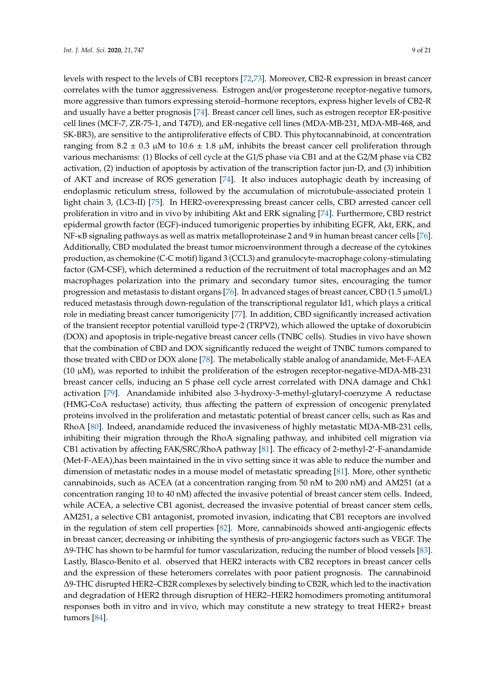levels with respect to the levels of CB1 receptors [\[72,](#page-17-11)[73\]](#page-17-12). Moreover, CB2-R expression in breast cancer correlates with the tumor aggressiveness. Estrogen and/or progesterone receptor-negative tumors, more aggressive than tumors expressing steroid–hormone receptors, express higher levels of CB2-R and usually have a better prognosis [\[74\]](#page-17-13). Breast cancer cell lines, such as estrogen receptor ER-positive cell lines (MCF-7, ZR-75-1, and T47D), and ER-negative cell lines (MDA-MB-231, MDA-MB-468, and SK-BR3), are sensitive to the antiproliferative effects of CBD. This phytocannabinoid, at concentration ranging from 8.2  $\pm$  0.3 µM to 10.6  $\pm$  1.8 µM, inhibits the breast cancer cell proliferation through various mechanisms: (1) Blocks of cell cycle at the G1/S phase via CB1 and at the G2/M phase via CB2 activation, (2) induction of apoptosis by activation of the transcription factor jun-D, and (3) inhibition of AKT and increase of ROS generation [\[74\]](#page-17-13). It also induces autophagic death by increasing of endoplasmic reticulum stress, followed by the accumulation of microtubule-associated protein 1 light chain 3, (LC3-II) [\[75\]](#page-17-14). In HER2-overexpressing breast cancer cells, CBD arrested cancer cell proliferation in vitro and in vivo by inhibiting Akt and ERK signaling [\[74\]](#page-17-13). Furthermore, CBD restrict epidermal growth factor (EGF)-induced tumorigenic properties by inhibiting EGFR, Akt, ERK, and NF-κB signaling pathways as well as matrix metalloproteinase 2 and 9 in human breast cancer cells [\[76\]](#page-17-15). Additionally, CBD modulated the breast tumor microenvironment through a decrease of the cytokines production, as chemokine (C-C motif) ligand 3 (CCL3) and granulocyte-macrophage colony-stimulating factor (GM-CSF), which determined a reduction of the recruitment of total macrophages and an M2 macrophages polarization into the primary and secondary tumor sites, encouraging the tumor progression and metastasis to distant organs [\[76\]](#page-17-15). In advanced stages of breast cancer, CBD (1.5 µmol/L) reduced metastasis through down-regulation of the transcriptional regulator Id1, which plays a critical role in mediating breast cancer tumorigenicity [\[77\]](#page-17-16). In addition, CBD significantly increased activation of the transient receptor potential vanilloid type-2 (TRPV2), which allowed the uptake of doxorubicin (DOX) and apoptosis in triple-negative breast cancer cells (TNBC cells). Studies in vivo have shown that the combination of CBD and DOX significantly reduced the weight of TNBC tumors compared to those treated with CBD or DOX alone [\[78\]](#page-17-17). The metabolically stable analog of anandamide, Met-F-AEA  $(10 \mu M)$ , was reported to inhibit the proliferation of the estrogen receptor-negative-MDA-MB-231 breast cancer cells, inducing an S phase cell cycle arrest correlated with DNA damage and Chk1 activation [\[79\]](#page-17-18). Anandamide inhibited also 3-hydroxy-3-methyl-glutaryl-coenzyme A reductase (HMG-CoA reductase) activity, thus affecting the pattern of expression of oncogenic prenylated proteins involved in the proliferation and metastatic potential of breast cancer cells, such as Ras and RhoA [\[80\]](#page-18-0). Indeed, anandamide reduced the invasiveness of highly metastatic MDA-MB-231 cells, inhibiting their migration through the RhoA signaling pathway, and inhibited cell migration via CB1 activation by affecting FAK/SRC/RhoA pathway [\[81\]](#page-18-1). The efficacy of 2-methyl-2'-F-anandamide (Met-F-AEA),has been maintained in the in vivo setting since it was able to reduce the number and dimension of metastatic nodes in a mouse model of metastatic spreading [\[81\]](#page-18-1). More, other synthetic cannabinoids, such as ACEA (at a concentration ranging from 50 nM to 200 nM) and AM251 (at a concentration ranging 10 to 40 nM) affected the invasive potential of breast cancer stem cells. Indeed, while ACEA, a selective CB1 agonist, decreased the invasive potential of breast cancer stem cells, AM251, a selective CB1 antagonist, promoted invasion, indicating that CB1 receptors are involved in the regulation of stem cell properties [\[82\]](#page-18-2). More, cannabinoids showed anti-angiogenic effects in breast cancer, decreasing or inhibiting the synthesis of pro-angiogenic factors such as VEGF. The ∆9-THC has shown to be harmful for tumor vascularization, reducing the number of blood vessels [\[83\]](#page-18-3). Lastly, Blasco-Benito et al. observed that HER2 interacts with CB2 receptors in breast cancer cells and the expression of these heteromers correlates with poor patient prognosis. The cannabinoid ∆9-THC disrupted HER2–CB2R complexes by selectively binding to CB2R, which led to the inactivation and degradation of HER2 through disruption of HER2–HER2 homodimers promoting antitumoral responses both in vitro and in vivo, which may constitute a new strategy to treat HER2+ breast tumors [\[84\]](#page-18-4).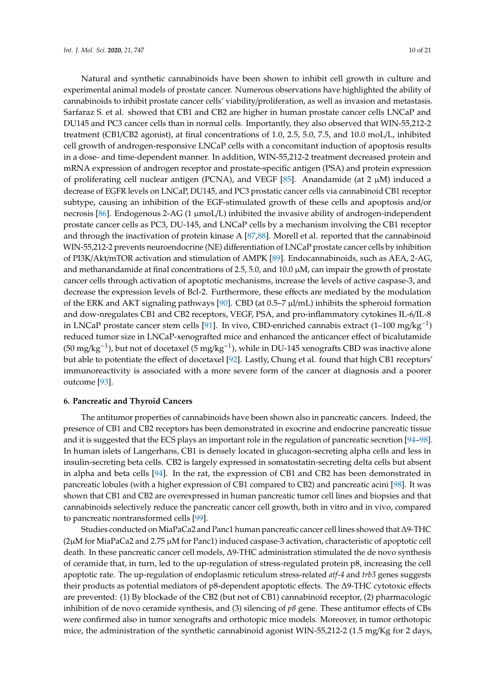Natural and synthetic cannabinoids have been shown to inhibit cell growth in culture and experimental animal models of prostate cancer. Numerous observations have highlighted the ability of cannabinoids to inhibit prostate cancer cells' viability/proliferation, as well as invasion and metastasis. Sarfaraz S. et al. showed that CB1 and CB2 are higher in human prostate cancer cells LNCaP and DU145 and PC3 cancer cells than in normal cells. Importantly, they also observed that WIN-55,212-2 treatment (CB1/CB2 agonist), at final concentrations of 1.0, 2.5, 5.0, 7.5, and 10.0 moL/L, inhibited cell growth of androgen-responsive LNCaP cells with a concomitant induction of apoptosis results in a dose- and time-dependent manner. In addition, WIN-55,212-2 treatment decreased protein and mRNA expression of androgen receptor and prostate-specific antigen (PSA) and protein expression of proliferating cell nuclear antigen (PCNA), and VEGF [\[85\]](#page-18-5). Anandamide (at 2  $\mu$ M) induced a decrease of EGFR levels on LNCaP, DU145, and PC3 prostatic cancer cells via cannabinoid CB1 receptor subtype, causing an inhibition of the EGF-stimulated growth of these cells and apoptosis and/or necrosis [\[86\]](#page-18-6). Endogenous 2-AG (1 µmoL/L) inhibited the invasive ability of androgen-independent prostate cancer cells as PC3, DU-145, and LNCaP cells by a mechanism involving the CB1 receptor and through the inactivation of protein kinase A [\[87](#page-18-7)[,88\]](#page-18-8). Morell et al. reported that the cannabinoid WIN-55,212-2 prevents neuroendocrine (NE) differentiation of LNCaP prostate cancer cells by inhibition of PI3K/Akt/mTOR activation and stimulation of AMPK [\[89\]](#page-18-9). Endocannabinoids, such as AEA, 2-AG, and methanandamide at final concentrations of 2.5, 5.0, and 10.0  $\mu$ M, can impair the growth of prostate cancer cells through activation of apoptotic mechanisms, increase the levels of active caspase-3, and decrease the expression levels of Bcl-2. Furthermore, these effects are mediated by the modulation of the ERK and AKT signaling pathways [\[90\]](#page-18-10). CBD (at 0.5–7  $\mu$ ]/mL) inhibits the spheroid formation and dow-nregulates CB1 and CB2 receptors, VEGF, PSA, and pro-inflammatory cytokines IL-6/IL-8 in LNCaP prostate cancer stem cells [\[91\]](#page-18-11). In vivo, CBD-enriched cannabis extract (1–100 mg/kg−<sup>1</sup> ) reduced tumor size in LNCaP-xenografted mice and enhanced the anticancer effect of bicalutamide (50 mg/kg<sup>-1</sup>), but not of docetaxel (5 mg/kg<sup>-1</sup>), while in DU-145 xenografts CBD was inactive alone but able to potentiate the effect of docetaxel [\[92\]](#page-18-12). Lastly, Chung et al. found that high CB1 receptors' immunoreactivity is associated with a more severe form of the cancer at diagnosis and a poorer outcome [\[93\]](#page-18-13).

### **6. Pancreatic and Thyroid Cancers**

The antitumor properties of cannabinoids have been shown also in pancreatic cancers. Indeed, the presence of CB1 and CB2 receptors has been demonstrated in exocrine and endocrine pancreatic tissue and it is suggested that the ECS plays an important role in the regulation of pancreatic secretion [\[94–](#page-18-14)[98\]](#page-18-15). In human islets of Langerhans, CB1 is densely located in glucagon-secreting alpha cells and less in insulin-secreting beta cells. CB2 is largely expressed in somatostatin-secreting delta cells but absent in alpha and beta cells [\[94\]](#page-18-14). In the rat, the expression of CB1 and CB2 has been demonstrated in pancreatic lobules (with a higher expression of CB1 compared to CB2) and pancreatic acini [\[98\]](#page-18-15). It was shown that CB1 and CB2 are overexpressed in human pancreatic tumor cell lines and biopsies and that cannabinoids selectively reduce the pancreatic cancer cell growth, both in vitro and in vivo, compared to pancreatic nontransformed cells [\[99\]](#page-19-0).

Studies conducted on MiaPaCa2 and Panc1 human pancreatic cancer cell lines showed that ∆9-THC (2µM for MiaPaCa2 and 2.75 µM for Panc1) induced caspase-3 activation, characteristic of apoptotic cell death. In these pancreatic cancer cell models, ∆9-THC administration stimulated the de novo synthesis of ceramide that, in turn, led to the up-regulation of stress-regulated protein p8, increasing the cell apoptotic rate. The up-regulation of endoplasmic reticulum stress-related *atf-4* and *trb3* genes suggests their products as potential mediators of p8-dependent apoptotic effects. The ∆9-THC cytotoxic effects are prevented: (1) By blockade of the CB2 (but not of CB1) cannabinoid receptor, (2) pharmacologic inhibition of de novo ceramide synthesis, and (3) silencing of *p8* gene. These antitumor effects of CBs were confirmed also in tumor xenografts and orthotopic mice models. Moreover, in tumor orthotopic mice, the administration of the synthetic cannabinoid agonist WIN-55,212-2 (1.5 mg/Kg for 2 days,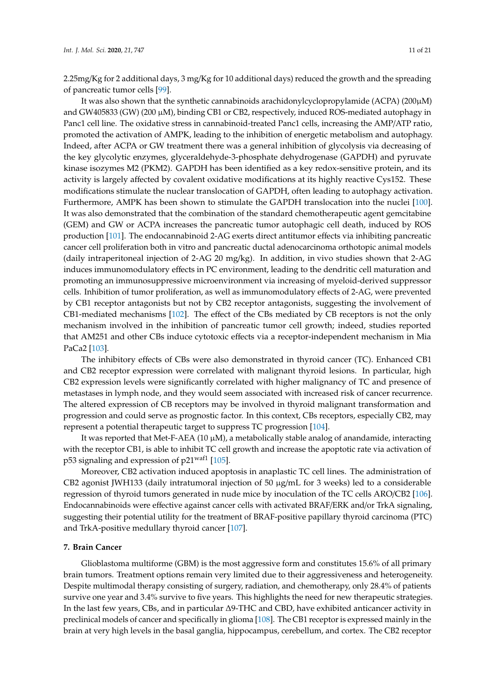2.25mg/Kg for 2 additional days, 3 mg/Kg for 10 additional days) reduced the growth and the spreading of pancreatic tumor cells [\[99\]](#page-19-0).

It was also shown that the synthetic cannabinoids arachidonylcyclopropylamide (ACPA)  $(200\mu)$ and GW405833 (GW) (200 µM), binding CB1 or CB2, respectively, induced ROS-mediated autophagy in Panc1 cell line. The oxidative stress in cannabinoid-treated Panc1 cells, increasing the AMP/ATP ratio, promoted the activation of AMPK, leading to the inhibition of energetic metabolism and autophagy. Indeed, after ACPA or GW treatment there was a general inhibition of glycolysis via decreasing of the key glycolytic enzymes, glyceraldehyde-3-phosphate dehydrogenase (GAPDH) and pyruvate kinase isozymes M2 (PKM2). GAPDH has been identified as a key redox-sensitive protein, and its activity is largely affected by covalent oxidative modifications at its highly reactive Cys152. These modifications stimulate the nuclear translocation of GAPDH, often leading to autophagy activation. Furthermore, AMPK has been shown to stimulate the GAPDH translocation into the nuclei [\[100\]](#page-19-1). It was also demonstrated that the combination of the standard chemotherapeutic agent gemcitabine (GEM) and GW or ACPA increases the pancreatic tumor autophagic cell death, induced by ROS production [\[101\]](#page-19-2). The endocannabinoid 2-AG exerts direct antitumor effects via inhibiting pancreatic cancer cell proliferation both in vitro and pancreatic ductal adenocarcinoma orthotopic animal models (daily intraperitoneal injection of 2-AG 20 mg/kg). In addition, in vivo studies shown that 2-AG induces immunomodulatory effects in PC environment, leading to the dendritic cell maturation and promoting an immunosuppressive microenvironment via increasing of myeloid-derived suppressor cells. Inhibition of tumor proliferation, as well as immunomodulatory effects of 2-AG, were prevented by CB1 receptor antagonists but not by CB2 receptor antagonists, suggesting the involvement of CB1-mediated mechanisms [\[102\]](#page-19-3). The effect of the CBs mediated by CB receptors is not the only mechanism involved in the inhibition of pancreatic tumor cell growth; indeed, studies reported that AM251 and other CBs induce cytotoxic effects via a receptor-independent mechanism in Mia PaCa2 [\[103\]](#page-19-4).

The inhibitory effects of CBs were also demonstrated in thyroid cancer (TC). Enhanced CB1 and CB2 receptor expression were correlated with malignant thyroid lesions. In particular, high CB2 expression levels were significantly correlated with higher malignancy of TC and presence of metastases in lymph node, and they would seem associated with increased risk of cancer recurrence. The altered expression of CB receptors may be involved in thyroid malignant transformation and progression and could serve as prognostic factor. In this context, CBs receptors, especially CB2, may represent a potential therapeutic target to suppress TC progression [\[104\]](#page-19-5).

It was reported that Met-F-AEA (10  $\mu$ M), a metabolically stable analog of anandamide, interacting with the receptor CB1, is able to inhibit TC cell growth and increase the apoptotic rate via activation of p53 signaling and expression of  $p21<sup>waf1</sup>$  [\[105\]](#page-19-6).

Moreover, CB2 activation induced apoptosis in anaplastic TC cell lines. The administration of CB2 agonist JWH133 (daily intratumoral injection of 50  $\mu$ g/mL for 3 weeks) led to a considerable regression of thyroid tumors generated in nude mice by inoculation of the TC cells ARO/CB2 [\[106\]](#page-19-7). Endocannabinoids were effective against cancer cells with activated BRAF/ERK and/or TrkA signaling, suggesting their potential utility for the treatment of BRAF-positive papillary thyroid carcinoma (PTC) and TrkA-positive medullary thyroid cancer [\[107\]](#page-19-8).

#### **7. Brain Cancer**

Glioblastoma multiforme (GBM) is the most aggressive form and constitutes 15.6% of all primary brain tumors. Treatment options remain very limited due to their aggressiveness and heterogeneity. Despite multimodal therapy consisting of surgery, radiation, and chemotherapy, only 28.4% of patients survive one year and 3.4% survive to five years. This highlights the need for new therapeutic strategies. In the last few years, CBs, and in particular ∆9-THC and CBD, have exhibited anticancer activity in preclinical models of cancer and specifically in glioma [\[108\]](#page-19-9). The CB1 receptor is expressed mainly in the brain at very high levels in the basal ganglia, hippocampus, cerebellum, and cortex. The CB2 receptor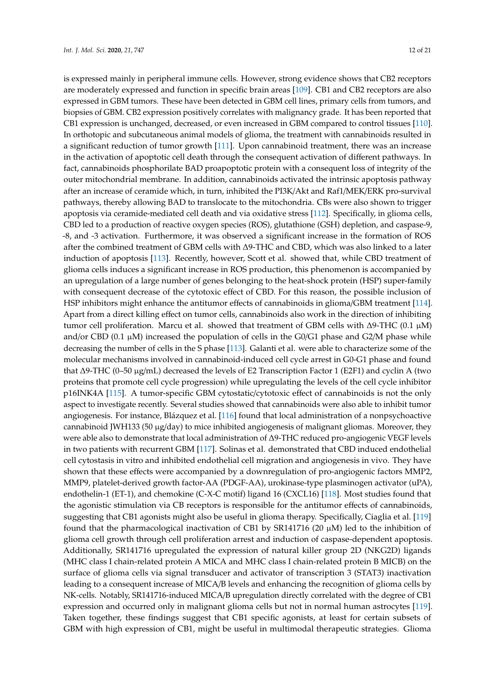is expressed mainly in peripheral immune cells. However, strong evidence shows that CB2 receptors are moderately expressed and function in specific brain areas [\[109\]](#page-19-10). CB1 and CB2 receptors are also expressed in GBM tumors. These have been detected in GBM cell lines, primary cells from tumors, and biopsies of GBM. CB2 expression positively correlates with malignancy grade. It has been reported that CB1 expression is unchanged, decreased, or even increased in GBM compared to control tissues [\[110\]](#page-19-11). In orthotopic and subcutaneous animal models of glioma, the treatment with cannabinoids resulted in a significant reduction of tumor growth [\[111\]](#page-19-12). Upon cannabinoid treatment, there was an increase in the activation of apoptotic cell death through the consequent activation of different pathways. In fact, cannabinoids phosphorilate BAD proapoptotic protein with a consequent loss of integrity of the outer mitochondrial membrane. In addition, cannabinoids activated the intrinsic apoptosis pathway after an increase of ceramide which, in turn, inhibited the PI3K/Akt and Raf1/MEK/ERK pro-survival pathways, thereby allowing BAD to translocate to the mitochondria. CBs were also shown to trigger apoptosis via ceramide-mediated cell death and via oxidative stress [\[112\]](#page-19-13). Specifically, in glioma cells, CBD led to a production of reactive oxygen species (ROS), glutathione (GSH) depletion, and caspase-9, -8, and -3 activation. Furthermore, it was observed a significant increase in the formation of ROS after the combined treatment of GBM cells with ∆9-THC and CBD, which was also linked to a later induction of apoptosis [\[113\]](#page-19-14). Recently, however, Scott et al. showed that, while CBD treatment of glioma cells induces a significant increase in ROS production, this phenomenon is accompanied by an upregulation of a large number of genes belonging to the heat-shock protein (HSP) super-family with consequent decrease of the cytotoxic effect of CBD. For this reason, the possible inclusion of HSP inhibitors might enhance the antitumor effects of cannabinoids in glioma/GBM treatment [\[114\]](#page-19-15). Apart from a direct killing effect on tumor cells, cannabinoids also work in the direction of inhibiting tumor cell proliferation. Marcu et al. showed that treatment of GBM cells with Δ9-THC (0.1 μM) and/or CBD (0.1  $\mu$ M) increased the population of cells in the G0/G1 phase and G2/M phase while decreasing the number of cells in the S phase [\[113\]](#page-19-14). Galanti et al. were able to characterize some of the molecular mechanisms involved in cannabinoid-induced cell cycle arrest in G0-G1 phase and found that ∆9-THC (0–50 µg/mL) decreased the levels of E2 Transcription Factor 1 (E2F1) and cyclin A (two proteins that promote cell cycle progression) while upregulating the levels of the cell cycle inhibitor p16INK4A [\[115\]](#page-19-16). A tumor-specific GBM cytostatic/cytotoxic effect of cannabinoids is not the only aspect to investigate recently. Several studies showed that cannabinoids were also able to inhibit tumor angiogenesis. For instance, Blázquez et al. [\[116\]](#page-19-17) found that local administration of a nonpsychoactive cannabinoid JWH133 (50 µg/day) to mice inhibited angiogenesis of malignant gliomas. Moreover, they were able also to demonstrate that local administration of ∆9-THC reduced pro-angiogenic VEGF levels in two patients with recurrent GBM [\[117\]](#page-19-18). Solinas et al. demonstrated that CBD induced endothelial cell cytostasis in vitro and inhibited endothelial cell migration and angiogenesis in vivo. They have shown that these effects were accompanied by a downregulation of pro-angiogenic factors MMP2, MMP9, platelet-derived growth factor-AA (PDGF-AA), urokinase-type plasminogen activator (uPA), endothelin-1 (ET-1), and chemokine (C-X-C motif) ligand 16 (CXCL16) [\[118\]](#page-20-0). Most studies found that the agonistic stimulation via CB receptors is responsible for the antitumor effects of cannabinoids, suggesting that CB1 agonists might also be useful in glioma therapy. Specifically, Ciaglia et al. [\[119\]](#page-20-1) found that the pharmacological inactivation of CB1 by SR141716 (20 µM) led to the inhibition of glioma cell growth through cell proliferation arrest and induction of caspase-dependent apoptosis. Additionally, SR141716 upregulated the expression of natural killer group 2D (NKG2D) ligands (MHC class I chain-related protein A MICA and MHC class I chain-related protein B MICB) on the surface of glioma cells via signal transducer and activator of transcription 3 (STAT3) inactivation leading to a consequent increase of MICA/B levels and enhancing the recognition of glioma cells by NK-cells. Notably, SR141716-induced MICA/B upregulation directly correlated with the degree of CB1 expression and occurred only in malignant glioma cells but not in normal human astrocytes [\[119\]](#page-20-1). Taken together, these findings suggest that CB1 specific agonists, at least for certain subsets of GBM with high expression of CB1, might be useful in multimodal therapeutic strategies. Glioma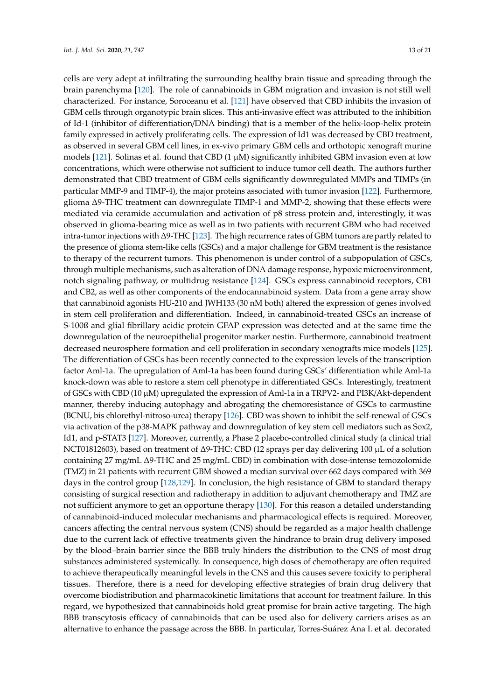cells are very adept at infiltrating the surrounding healthy brain tissue and spreading through the brain parenchyma [\[120\]](#page-20-2). The role of cannabinoids in GBM migration and invasion is not still well characterized. For instance, Soroceanu et al. [\[121\]](#page-20-3) have observed that CBD inhibits the invasion of GBM cells through organotypic brain slices. This anti-invasive effect was attributed to the inhibition of Id-1 (inhibitor of differentiation/DNA binding) that is a member of the helix-loop-helix protein family expressed in actively proliferating cells. The expression of Id1 was decreased by CBD treatment, as observed in several GBM cell lines, in ex-vivo primary GBM cells and orthotopic xenograft murine models [\[121\]](#page-20-3). Solinas et al. found that CBD (1  $\mu$ M) significantly inhibited GBM invasion even at low concentrations, which were otherwise not sufficient to induce tumor cell death. The authors further demonstrated that CBD treatment of GBM cells significantly downregulated MMPs and TIMPs (in particular MMP-9 and TIMP-4), the major proteins associated with tumor invasion [\[122\]](#page-20-4). Furthermore, glioma ∆9-THC treatment can downregulate TIMP-1 and MMP-2, showing that these effects were mediated via ceramide accumulation and activation of p8 stress protein and, interestingly, it was observed in glioma-bearing mice as well as in two patients with recurrent GBM who had received intra-tumor injections with ∆9-THC [\[123\]](#page-20-5). The high recurrence rates of GBM tumors are partly related to the presence of glioma stem-like cells (GSCs) and a major challenge for GBM treatment is the resistance to therapy of the recurrent tumors. This phenomenon is under control of a subpopulation of GSCs, through multiple mechanisms, such as alteration of DNA damage response, hypoxic microenvironment, notch signaling pathway, or multidrug resistance [\[124\]](#page-20-6). GSCs express cannabinoid receptors, CB1 and CB2, as well as other components of the endocannabinoid system. Data from a gene array show that cannabinoid agonists HU-210 and JWH133 (30 nM both) altered the expression of genes involved in stem cell proliferation and differentiation. Indeed, in cannabinoid-treated GSCs an increase of S-100ß and glial fibrillary acidic protein GFAP expression was detected and at the same time the downregulation of the neuroepithelial progenitor marker nestin. Furthermore, cannabinoid treatment decreased neurosphere formation and cell proliferation in secondary xenografts mice models [\[125\]](#page-20-7). The differentiation of GSCs has been recently connected to the expression levels of the transcription factor Aml-1a. The upregulation of Aml-1a has been found during GSCs' differentiation while Aml-1a knock-down was able to restore a stem cell phenotype in differentiated GSCs. Interestingly, treatment of GSCs with CBD (10 µM) upregulated the expression of Aml-1a in a TRPV2- and PI3K/Akt-dependent manner, thereby inducing autophagy and abrogating the chemoresistance of GSCs to carmustine (BCNU, bis chlorethyl-nitroso-urea) therapy [\[126\]](#page-20-8). CBD was shown to inhibit the self-renewal of GSCs via activation of the p38-MAPK pathway and downregulation of key stem cell mediators such as Sox2, Id1, and p-STAT3 [\[127\]](#page-20-9). Moreover, currently, a Phase 2 placebo-controlled clinical study (a clinical trial NCT01812603), based on treatment of ∆9-THC: CBD (12 sprays per day delivering 100 µL of a solution containing 27 mg/mL ∆9-THC and 25 mg/mL CBD) in combination with dose-intense temozolomide (TMZ) in 21 patients with recurrent GBM showed a median survival over 662 days compared with 369 days in the control group [\[128,](#page-20-10)[129\]](#page-20-11). In conclusion, the high resistance of GBM to standard therapy consisting of surgical resection and radiotherapy in addition to adjuvant chemotherapy and TMZ are not sufficient anymore to get an opportune therapy [\[130\]](#page-20-12). For this reason a detailed understanding of cannabinoid-induced molecular mechanisms and pharmacological effects is required. Moreover, cancers affecting the central nervous system (CNS) should be regarded as a major health challenge due to the current lack of effective treatments given the hindrance to brain drug delivery imposed by the blood–brain barrier since the BBB truly hinders the distribution to the CNS of most drug substances administered systemically. In consequence, high doses of chemotherapy are often required to achieve therapeutically meaningful levels in the CNS and this causes severe toxicity to peripheral tissues. Therefore, there is a need for developing effective strategies of brain drug delivery that overcome biodistribution and pharmacokinetic limitations that account for treatment failure. In this regard, we hypothesized that cannabinoids hold great promise for brain active targeting. The high BBB transcytosis efficacy of cannabinoids that can be used also for delivery carriers arises as an alternative to enhance the passage across the BBB. In particular, Torres-Suárez Ana I. et al. decorated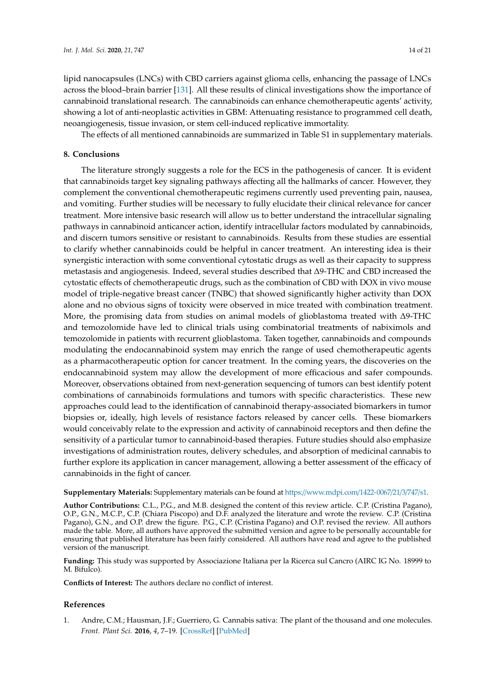lipid nanocapsules (LNCs) with CBD carriers against glioma cells, enhancing the passage of LNCs across the blood–brain barrier [\[131\]](#page-20-13). All these results of clinical investigations show the importance of cannabinoid translational research. The cannabinoids can enhance chemotherapeutic agents' activity, showing a lot of anti-neoplastic activities in GBM: Attenuating resistance to programmed cell death, neoangiogenesis, tissue invasion, or stem cell-induced replicative immortality.

The effects of all mentioned cannabinoids are summarized in Table S1 in supplementary materials.

## **8. Conclusions**

The literature strongly suggests a role for the ECS in the pathogenesis of cancer. It is evident that cannabinoids target key signaling pathways affecting all the hallmarks of cancer. However, they complement the conventional chemotherapeutic regimens currently used preventing pain, nausea, and vomiting. Further studies will be necessary to fully elucidate their clinical relevance for cancer treatment. More intensive basic research will allow us to better understand the intracellular signaling pathways in cannabinoid anticancer action, identify intracellular factors modulated by cannabinoids, and discern tumors sensitive or resistant to cannabinoids. Results from these studies are essential to clarify whether cannabinoids could be helpful in cancer treatment. An interesting idea is their synergistic interaction with some conventional cytostatic drugs as well as their capacity to suppress metastasis and angiogenesis. Indeed, several studies described that ∆9-THC and CBD increased the cytostatic effects of chemotherapeutic drugs, such as the combination of CBD with DOX in vivo mouse model of triple-negative breast cancer (TNBC) that showed significantly higher activity than DOX alone and no obvious signs of toxicity were observed in mice treated with combination treatment. More, the promising data from studies on animal models of glioblastoma treated with ∆9-THC and temozolomide have led to clinical trials using combinatorial treatments of nabiximols and temozolomide in patients with recurrent glioblastoma. Taken together, cannabinoids and compounds modulating the endocannabinoid system may enrich the range of used chemotherapeutic agents as a pharmacotherapeutic option for cancer treatment. In the coming years, the discoveries on the endocannabinoid system may allow the development of more efficacious and safer compounds. Moreover, observations obtained from next-generation sequencing of tumors can best identify potent combinations of cannabinoids formulations and tumors with specific characteristics. These new approaches could lead to the identification of cannabinoid therapy-associated biomarkers in tumor biopsies or, ideally, high levels of resistance factors released by cancer cells. These biomarkers would conceivably relate to the expression and activity of cannabinoid receptors and then define the sensitivity of a particular tumor to cannabinoid-based therapies. Future studies should also emphasize investigations of administration routes, delivery schedules, and absorption of medicinal cannabis to further explore its application in cancer management, allowing a better assessment of the efficacy of cannabinoids in the fight of cancer.

#### **Supplementary Materials:** Supplementary materials can be found at https://[www.mdpi.com](https://www.mdpi.com/1422-0067/21/3/747/s1)/1422-0067/21/3/747/s1.

**Author Contributions:** C.L., P.G., and M.B. designed the content of this review article. C.P. (Cristina Pagano), O.P., G.N., M.C.P., C.P. (Chiara Piscopo) and D.F. analyzed the literature and wrote the review. C.P. (Cristina Pagano), G.N., and O.P. drew the figure. P.G., C.P. (Cristina Pagano) and O.P. revised the review. All authors made the table. More, all authors have approved the submitted version and agree to be personally accountable for ensuring that published literature has been fairly considered. All authors have read and agree to the published version of the manuscript.

**Funding:** This study was supported by Associazione Italiana per la Ricerca sul Cancro (AIRC IG No. 18999 to M. Bifulco).

**Conflicts of Interest:** The authors declare no conflict of interest.

#### **References**

<span id="page-13-0"></span>1. Andre, C.M.; Hausman, J.F.; Guerriero, G. Cannabis sativa: The plant of the thousand and one molecules. *Front. Plant Sci.* **2016**, *4*, 7–19. [\[CrossRef\]](http://dx.doi.org/10.3389/fpls.2016.00019) [\[PubMed\]](http://www.ncbi.nlm.nih.gov/pubmed/26870049)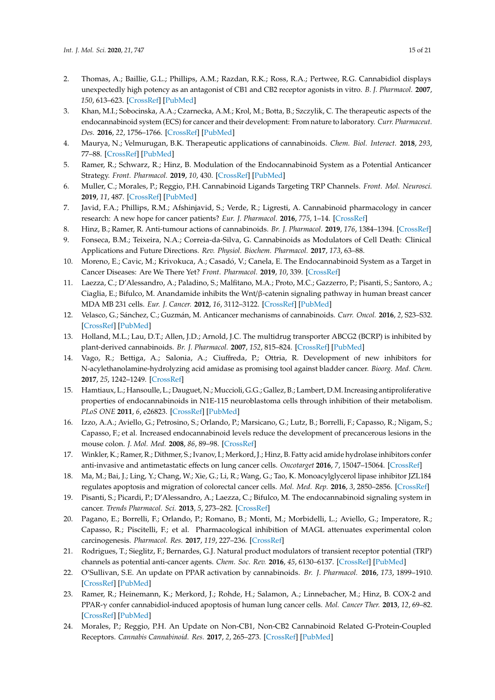- <span id="page-14-0"></span>2. Thomas, A.; Baillie, G.L.; Phillips, A.M.; Razdan, R.K.; Ross, R.A.; Pertwee, R.G. Cannabidiol displays unexpectedly high potency as an antagonist of CB1 and CB2 receptor agonists in vitro. *B. J. Pharmacol.* **2007**, *150*, 613–623. [\[CrossRef\]](http://dx.doi.org/10.1038/sj.bjp.0707133) [\[PubMed\]](http://www.ncbi.nlm.nih.gov/pubmed/17245363)
- <span id="page-14-1"></span>3. Khan, M.I.; Sobocinska, A.A.; Czarnecka, A.M.; Krol, M.; Botta, B.; Szczylik, C. The therapeutic aspects of the endocannabinoid system (ECS) for cancer and their development: From nature to laboratory. *Curr. Pharmaceut. Des.* **2016**, *22*, 1756–1766. [\[CrossRef\]](http://dx.doi.org/10.2174/1381612822666151211094901) [\[PubMed\]](http://www.ncbi.nlm.nih.gov/pubmed/26654588)
- <span id="page-14-2"></span>4. Maurya, N.; Velmurugan, B.K. Therapeutic applications of cannabinoids. *Chem. Biol. Interact.* **2018**, *293*, 77–88. [\[CrossRef\]](http://dx.doi.org/10.1016/j.cbi.2018.07.018) [\[PubMed\]](http://www.ncbi.nlm.nih.gov/pubmed/30040916)
- <span id="page-14-3"></span>5. Ramer, R.; Schwarz, R.; Hinz, B. Modulation of the Endocannabinoid System as a Potential Anticancer Strategy. *Front. Pharmacol.* **2019**, *10*, 430. [\[CrossRef\]](http://dx.doi.org/10.3389/fphar.2019.00430) [\[PubMed\]](http://www.ncbi.nlm.nih.gov/pubmed/31143113)
- <span id="page-14-4"></span>6. Muller, C.; Morales, P.; Reggio, P.H. Cannabinoid Ligands Targeting TRP Channels. *Front. Mol. Neurosci.* **2019**, *11*, 487. [\[CrossRef\]](http://dx.doi.org/10.3389/fnmol.2018.00487) [\[PubMed\]](http://www.ncbi.nlm.nih.gov/pubmed/30697147)
- <span id="page-14-5"></span>7. Javid, F.A.; Phillips, R.M.; Afshinjavid, S.; Verde, R.; Ligresti, A. Cannabinoid pharmacology in cancer research: A new hope for cancer patients? *Eur. J. Pharmacol.* **2016**, *775*, 1–14. [\[CrossRef\]](http://dx.doi.org/10.1016/j.ejphar.2016.02.010)
- <span id="page-14-6"></span>8. Hinz, B.; Ramer, R. Anti-tumour actions of cannabinoids. *Br. J. Pharmacol.* **2019**, *176*, 1384–1394. [\[CrossRef\]](http://dx.doi.org/10.1111/bph.14426)
- <span id="page-14-7"></span>9. Fonseca, B.M.; Teixeira, N.A.; Correia-da-Silva, G. Cannabinoids as Modulators of Cell Death: Clinical Applications and Future Directions. *Rev. Physiol. Biochem. Pharmacol.* **2017**, *173*, 63–88.
- <span id="page-14-8"></span>10. Moreno, E.; Cavic, M.; Krivokuca, A.; Casadó, V.; Canela, E. The Endocannabinoid System as a Target in Cancer Diseases: Are We There Yet? *Front. Pharmacol.* **2019**, *10*, 339. [\[CrossRef\]](http://dx.doi.org/10.3389/fphar.2019.00339)
- <span id="page-14-9"></span>11. Laezza, C.; D'Alessandro, A.; Paladino, S.; Malfitano, M.A.; Proto, M.C.; Gazzerro, P.; Pisanti, S.; Santoro, A.; Ciaglia, E.; Bifulco, M. Anandamide inhibits the Wnt/β-catenin signaling pathway in human breast cancer MDA MB 231 cells. *Eur. J. Cancer.* **2012**, *16*, 3112–3122. [\[CrossRef\]](http://dx.doi.org/10.1016/j.ejca.2012.02.062) [\[PubMed\]](http://www.ncbi.nlm.nih.gov/pubmed/22425263)
- <span id="page-14-10"></span>12. Velasco, G.; Sánchez, C.; Guzmán, M. Anticancer mechanisms of cannabinoids. *Curr. Oncol.* **2016**, *2*, S23–S32. [\[CrossRef\]](http://dx.doi.org/10.3747/co.23.3080) [\[PubMed\]](http://www.ncbi.nlm.nih.gov/pubmed/27022311)
- <span id="page-14-11"></span>13. Holland, M.L.; Lau, D.T.; Allen, J.D.; Arnold, J.C. The multidrug transporter ABCG2 (BCRP) is inhibited by plant-derived cannabinoids. *Br. J. Pharmacol.* **2007**, *152*, 815–824. [\[CrossRef\]](http://dx.doi.org/10.1038/sj.bjp.0707467) [\[PubMed\]](http://www.ncbi.nlm.nih.gov/pubmed/17906686)
- <span id="page-14-12"></span>14. Vago, R.; Bettiga, A.; Salonia, A.; Ciuffreda, P.; Ottria, R. Development of new inhibitors for N-acylethanolamine-hydrolyzing acid amidase as promising tool against bladder cancer. *Bioorg. Med. Chem.* **2017**, *25*, 1242–1249. [\[CrossRef\]](http://dx.doi.org/10.1016/j.bmc.2016.12.042)
- <span id="page-14-13"></span>15. Hamtiaux, L.; Hansoulle, L.; Dauguet, N.; Muccioli, G.G.; Gallez, B.; Lambert, D.M. Increasing antiproliferative properties of endocannabinoids in N1E-115 neuroblastoma cells through inhibition of their metabolism. *PLoS ONE* **2011**, *6*, e26823. [\[CrossRef\]](http://dx.doi.org/10.1371/journal.pone.0026823) [\[PubMed\]](http://www.ncbi.nlm.nih.gov/pubmed/22046372)
- <span id="page-14-14"></span>16. Izzo, A.A.; Aviello, G.; Petrosino, S.; Orlando, P.; Marsicano, G.; Lutz, B.; Borrelli, F.; Capasso, R.; Nigam, S.; Capasso, F.; et al. Increased endocannabinoid levels reduce the development of precancerous lesions in the mouse colon. *J. Mol. Med.* **2008**, *86*, 89–98. [\[CrossRef\]](http://dx.doi.org/10.1007/s00109-007-0248-4)
- <span id="page-14-15"></span>17. Winkler, K.; Ramer, R.; Dithmer, S.; Ivanov, I.; Merkord, J.; Hinz, B. Fatty acid amide hydrolase inhibitors confer anti-invasive and antimetastatic effects on lung cancer cells. *Oncotarget* **2016**, *7*, 15047–15064. [\[CrossRef\]](http://dx.doi.org/10.18632/oncotarget.7592)
- <span id="page-14-16"></span>18. Ma, M.; Bai, J.; Ling, Y.; Chang, W.; Xie, G.; Li, R.; Wang, G.; Tao, K. Monoacylglycerol lipase inhibitor JZL184 regulates apoptosis and migration of colorectal cancer cells. *Mol. Med. Rep.* **2016**, *3*, 2850–2856. [\[CrossRef\]](http://dx.doi.org/10.3892/mmr.2016.4829)
- <span id="page-14-17"></span>19. Pisanti, S.; Picardi, P.; D'Alessandro, A.; Laezza, C.; Bifulco, M. The endocannabinoid signaling system in cancer. *Trends Pharmacol. Sci.* **2013**, *5*, 273–282. [\[CrossRef\]](http://dx.doi.org/10.1016/j.tips.2013.03.003)
- <span id="page-14-18"></span>20. Pagano, E.; Borrelli, F.; Orlando, P.; Romano, B.; Monti, M.; Morbidelli, L.; Aviello, G.; Imperatore, R.; Capasso, R.; Piscitelli, F.; et al. Pharmacological inhibition of MAGL attenuates experimental colon carcinogenesis. *Pharmacol. Res.* **2017**, *119*, 227–236. [\[CrossRef\]](http://dx.doi.org/10.1016/j.phrs.2017.02.002)
- <span id="page-14-19"></span>21. Rodrigues, T.; Sieglitz, F.; Bernardes, G.J. Natural product modulators of transient receptor potential (TRP) channels as potential anti-cancer agents. *Chem. Soc. Rev.* **2016**, *45*, 6130–6137. [\[CrossRef\]](http://dx.doi.org/10.1039/C5CS00916B) [\[PubMed\]](http://www.ncbi.nlm.nih.gov/pubmed/26890476)
- <span id="page-14-20"></span>22. O'Sullivan, S.E. An update on PPAR activation by cannabinoids. *Br. J. Pharmacol.* **2016**, *173*, 1899–1910. [\[CrossRef\]](http://dx.doi.org/10.1111/bph.13497) [\[PubMed\]](http://www.ncbi.nlm.nih.gov/pubmed/27077495)
- <span id="page-14-21"></span>23. Ramer, R.; Heinemann, K.; Merkord, J.; Rohde, H.; Salamon, A.; Linnebacher, M.; Hinz, B. COX-2 and PPAR-γ confer cannabidiol-induced apoptosis of human lung cancer cells. *Mol. Cancer Ther.* **2013**, *12*, 69–82. [\[CrossRef\]](http://dx.doi.org/10.1158/1535-7163.MCT-12-0335) [\[PubMed\]](http://www.ncbi.nlm.nih.gov/pubmed/23220503)
- <span id="page-14-22"></span>24. Morales, P.; Reggio, P.H. An Update on Non-CB1, Non-CB2 Cannabinoid Related G-Protein-Coupled Receptors. *Cannabis Cannabinoid. Res.* **2017**, *2*, 265–273. [\[CrossRef\]](http://dx.doi.org/10.1089/can.2017.0036) [\[PubMed\]](http://www.ncbi.nlm.nih.gov/pubmed/29098189)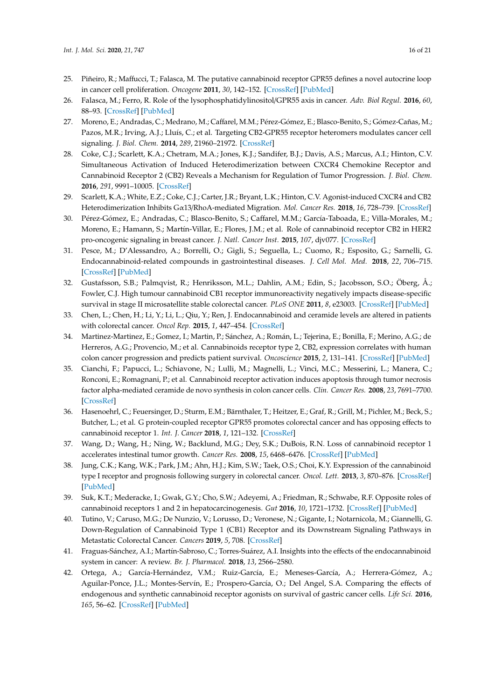- <span id="page-15-0"></span>25. Piñeiro, R.; Maffucci, T.; Falasca, M. The putative cannabinoid receptor GPR55 defines a novel autocrine loop in cancer cell proliferation. *Oncogene* **2011**, *30*, 142–152. [\[CrossRef\]](http://dx.doi.org/10.1038/onc.2010.417) [\[PubMed\]](http://www.ncbi.nlm.nih.gov/pubmed/20838378)
- <span id="page-15-1"></span>26. Falasca, M.; Ferro, R. Role of the lysophosphatidylinositol/GPR55 axis in cancer. *Adv. Biol Regul.* **2016**, *60*, 88–93. [\[CrossRef\]](http://dx.doi.org/10.1016/j.jbior.2015.10.003) [\[PubMed\]](http://www.ncbi.nlm.nih.gov/pubmed/26588872)
- <span id="page-15-2"></span>27. Moreno, E.; Andradas, C.; Medrano, M.; Caffarel, M.M.; Pérez-Gómez, E.; Blasco-Benito, S.; Gómez-Cañas, M.; Pazos, M.R.; Irving, A.J.; Lluís, C.; et al. Targeting CB2-GPR55 receptor heteromers modulates cancer cell signaling. *J. Biol. Chem.* **2014**, *289*, 21960–21972. [\[CrossRef\]](http://dx.doi.org/10.1074/jbc.M114.561761)
- <span id="page-15-3"></span>28. Coke, C.J.; Scarlett, K.A.; Chetram, M.A.; Jones, K.J.; Sandifer, B.J.; Davis, A.S.; Marcus, A.I.; Hinton, C.V. Simultaneous Activation of Induced Heterodimerization between CXCR4 Chemokine Receptor and Cannabinoid Receptor 2 (CB2) Reveals a Mechanism for Regulation of Tumor Progression. *J. Biol. Chem.* **2016**, *291*, 9991–10005. [\[CrossRef\]](http://dx.doi.org/10.1074/jbc.M115.712661)
- <span id="page-15-4"></span>29. Scarlett, K.A.; White, E.Z.; Coke, C.J.; Carter, J.R.; Bryant, L.K.; Hinton, C.V. Agonist-induced CXCR4 and CB2 Heterodimerization Inhibits Gα13/RhoA-mediated Migration. *Mol. Cancer Res.* **2018**, *16*, 728–739. [\[CrossRef\]](http://dx.doi.org/10.1158/1541-7786.MCR-16-0481)
- <span id="page-15-5"></span>30. Pérez-Gómez, E.; Andradas, C.; Blasco-Benito, S.; Caffarel, M.M.; García-Taboada, E.; Villa-Morales, M.; Moreno, E.; Hamann, S.; Martín-Villar, E.; Flores, J.M.; et al. Role of cannabinoid receptor CB2 in HER2 pro-oncogenic signaling in breast cancer. *J. Natl. Cancer Inst.* **2015**, *107*, djv077. [\[CrossRef\]](http://dx.doi.org/10.1093/jnci/djv077)
- <span id="page-15-6"></span>31. Pesce, M.; D'Alessandro, A.; Borrelli, O.; Gigli, S.; Seguella, L.; Cuomo, R.; Esposito, G.; Sarnelli, G. Endocannabinoid-related compounds in gastrointestinal diseases. *J. Cell Mol. Med.* **2018**, *22*, 706–715. [\[CrossRef\]](http://dx.doi.org/10.1111/jcmm.13359) [\[PubMed\]](http://www.ncbi.nlm.nih.gov/pubmed/28990365)
- <span id="page-15-7"></span>32. Gustafsson, S.B.; Palmqvist, R.; Henriksson, M.L.; Dahlin, A.M.; Edin, S.; Jacobsson, S.O.; Öberg, Å.; Fowler, C.J. High tumour cannabinoid CB1 receptor immunoreactivity negatively impacts disease-specific survival in stage II microsatellite stable colorectal cancer. *PLoS ONE* **2011**, *8*, e23003. [\[CrossRef\]](http://dx.doi.org/10.1371/journal.pone.0023003) [\[PubMed\]](http://www.ncbi.nlm.nih.gov/pubmed/21901119)
- <span id="page-15-8"></span>33. Chen, L.; Chen, H.; Li, Y.; Li, L.; Qiu, Y.; Ren, J. Endocannabinoid and ceramide levels are altered in patients with colorectal cancer. *Oncol Rep.* **2015**, *1*, 447–454. [\[CrossRef\]](http://dx.doi.org/10.3892/or.2015.3973)
- <span id="page-15-9"></span>34. Martinez-Martinez, E.; Gomez, I.; Martin, P.; Sánchez, A.; Román, L.; Tejerina, E.; Bonilla, F.; Merino, A.G.; de Herreros, A.G.; Provencio, M.; et al. Cannabinoids receptor type 2, CB2, expression correlates with human colon cancer progression and predicts patient survival. *Oncoscience* **2015**, *2*, 131–141. [\[CrossRef\]](http://dx.doi.org/10.18632/oncoscience.119) [\[PubMed\]](http://www.ncbi.nlm.nih.gov/pubmed/25859556)
- <span id="page-15-10"></span>35. Cianchi, F.; Papucci, L.; Schiavone, N.; Lulli, M.; Magnelli, L.; Vinci, M.C.; Messerini, L.; Manera, C.; Ronconi, E.; Romagnani, P.; et al. Cannabinoid receptor activation induces apoptosis through tumor necrosis factor alpha-mediated ceramide de novo synthesis in colon cancer cells. *Clin. Cancer Res.* **2008**, *23*, 7691–7700. [\[CrossRef\]](http://dx.doi.org/10.1158/1078-0432.CCR-08-0799)
- <span id="page-15-11"></span>36. Hasenoehrl, C.; Feuersinger, D.; Sturm, E.M.; Bärnthaler, T.; Heitzer, E.; Graf, R.; Grill, M.; Pichler, M.; Beck, S.; Butcher, L.; et al. G protein-coupled receptor GPR55 promotes colorectal cancer and has opposing effects to cannabinoid receptor 1. *Int. J. Cancer* **2018**, *1*, 121–132. [\[CrossRef\]](http://dx.doi.org/10.1002/ijc.31030)
- <span id="page-15-12"></span>37. Wang, D.; Wang, H.; Ning, W.; Backlund, M.G.; Dey, S.K.; DuBois, R.N. Loss of cannabinoid receptor 1 accelerates intestinal tumor growth. *Cancer Res.* **2008**, *15*, 6468–6476. [\[CrossRef\]](http://dx.doi.org/10.1158/0008-5472.CAN-08-0896) [\[PubMed\]](http://www.ncbi.nlm.nih.gov/pubmed/18676872)
- <span id="page-15-13"></span>38. Jung, C.K.; Kang, W.K.; Park, J.M.; Ahn, H.J.; Kim, S.W.; Taek, O.S.; Choi, K.Y. Expression of the cannabinoid type I receptor and prognosis following surgery in colorectal cancer. *Oncol. Lett.* **2013**, *3*, 870–876. [\[CrossRef\]](http://dx.doi.org/10.3892/ol.2012.1081) [\[PubMed\]](http://www.ncbi.nlm.nih.gov/pubmed/23426698)
- <span id="page-15-14"></span>39. Suk, K.T.; Mederacke, I.; Gwak, G.Y.; Cho, S.W.; Adeyemi, A.; Friedman, R.; Schwabe, R.F. Opposite roles of cannabinoid receptors 1 and 2 in hepatocarcinogenesis. *Gut* **2016**, *10*, 1721–1732. [\[CrossRef\]](http://dx.doi.org/10.1136/gutjnl-2015-310212) [\[PubMed\]](http://www.ncbi.nlm.nih.gov/pubmed/27196571)
- <span id="page-15-15"></span>40. Tutino, V.; Caruso, M.G.; De Nunzio, V.; Lorusso, D.; Veronese, N.; Gigante, I.; Notarnicola, M.; Giannelli, G. Down-Regulation of Cannabinoid Type 1 (CB1) Receptor and its Downstream Signaling Pathways in Metastatic Colorectal Cancer. *Cancers* **2019**, *5*, 708. [\[CrossRef\]](http://dx.doi.org/10.3390/cancers11050708)
- <span id="page-15-16"></span>41. Fraguas-Sánchez, A.I.; Martín-Sabroso, C.; Torres-Suárez, A.I. Insights into the effects of the endocannabinoid system in cancer: A review. *Br. J. Pharmacol.* **2018**, *13*, 2566–2580.
- <span id="page-15-17"></span>42. Ortega, A.; García-Hernández, V.M.; Ruiz-García, E.; Meneses-García, A.; Herrera-Gómez, A.; Aguilar-Ponce, J.L.; Montes-Servín, E.; Prospero-García, O.; Del Angel, S.A. Comparing the effects of endogenous and synthetic cannabinoid receptor agonists on survival of gastric cancer cells. *Life Sci.* **2016**, *165*, 56–62. [\[CrossRef\]](http://dx.doi.org/10.1016/j.lfs.2016.09.010) [\[PubMed\]](http://www.ncbi.nlm.nih.gov/pubmed/27640887)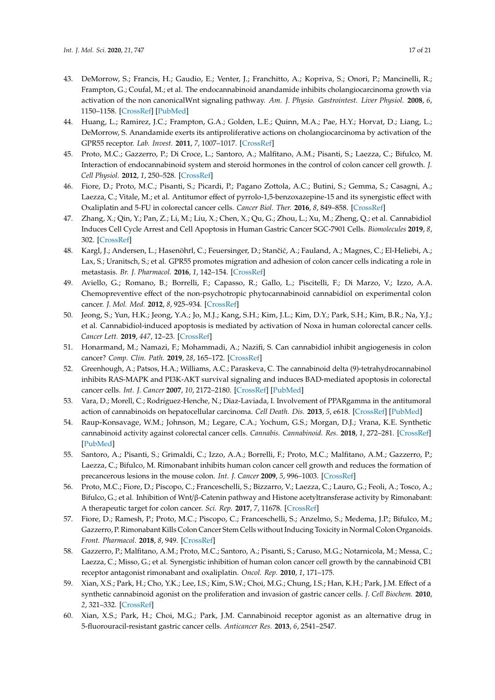- <span id="page-16-0"></span>43. DeMorrow, S.; Francis, H.; Gaudio, E.; Venter, J.; Franchitto, A.; Kopriva, S.; Onori, P.; Mancinelli, R.; Frampton, G.; Coufal, M.; et al. The endocannabinoid anandamide inhibits cholangiocarcinoma growth via activation of the non canonicalWnt signaling pathway. *Am. J. Physio. Gastrointest. Liver Physiol.* **2008**, *6*, 1150–1158. [\[CrossRef\]](http://dx.doi.org/10.1152/ajpgi.90455.2008) [\[PubMed\]](http://www.ncbi.nlm.nih.gov/pubmed/18832445)
- <span id="page-16-1"></span>44. Huang, L.; Ramirez, J.C.; Frampton, G.A.; Golden, L.E.; Quinn, M.A.; Pae, H.Y.; Horvat, D.; Liang, L.; DeMorrow, S. Anandamide exerts its antiproliferative actions on cholangiocarcinoma by activation of the GPR55 receptor. *Lab. Invest.* **2011**, *7*, 1007–1017. [\[CrossRef\]](http://dx.doi.org/10.1038/labinvest.2011.62)
- <span id="page-16-2"></span>45. Proto, M.C.; Gazzerro, P.; Di Croce, L.; Santoro, A.; Malfitano, A.M.; Pisanti, S.; Laezza, C.; Bifulco, M. Interaction of endocannabinoid system and steroid hormones in the control of colon cancer cell growth. *J. Cell Physiol.* **2012**, *1*, 250–528. [\[CrossRef\]](http://dx.doi.org/10.1002/jcp.22727)
- <span id="page-16-3"></span>46. Fiore, D.; Proto, M.C.; Pisanti, S.; Picardi, P.; Pagano Zottola, A.C.; Butini, S.; Gemma, S.; Casagni, A.; Laezza, C.; Vitale, M.; et al. Antitumor effect of pyrrolo-1,5-benzoxazepine-15 and its synergistic effect with Oxaliplatin and 5-FU in colorectal cancer cells. *Cancer Biol. Ther.* **2016**, *8*, 849–858. [\[CrossRef\]](http://dx.doi.org/10.1080/15384047.2015.1078028)
- <span id="page-16-4"></span>47. Zhang, X.; Qin, Y.; Pan, Z.; Li, M.; Liu, X.; Chen, X.; Qu, G.; Zhou, L.; Xu, M.; Zheng, Q.; et al. Cannabidiol Induces Cell Cycle Arrest and Cell Apoptosis in Human Gastric Cancer SGC-7901 Cells. *Biomolecules* **2019**, *8*, 302. [\[CrossRef\]](http://dx.doi.org/10.3390/biom9080302)
- <span id="page-16-5"></span>48. Kargl, J.; Andersen, L.; Hasenöhrl, C.; Feuersinger, D.; Stančić, A.; Fauland, A.; Magnes, C.; El-Heliebi, A.; Lax, S.; Uranitsch, S.; et al. GPR55 promotes migration and adhesion of colon cancer cells indicating a role in metastasis. *Br. J. Pharmacol.* **2016**, *1*, 142–154. [\[CrossRef\]](http://dx.doi.org/10.1111/bph.13345)
- <span id="page-16-6"></span>49. Aviello, G.; Romano, B.; Borrelli, F.; Capasso, R.; Gallo, L.; Piscitelli, F.; Di Marzo, V.; Izzo, A.A. Chemopreventive effect of the non-psychotropic phytocannabinoid cannabidiol on experimental colon cancer. *J. Mol. Med.* **2012**, *8*, 925–934. [\[CrossRef\]](http://dx.doi.org/10.1007/s00109-011-0856-x)
- <span id="page-16-7"></span>50. Jeong, S.; Yun, H.K.; Jeong, Y.A.; Jo, M.J.; Kang, S.H.; Kim, J.L.; Kim, D.Y.; Park, S.H.; Kim, B.R.; Na, Y.J.; et al. Cannabidiol-induced apoptosis is mediated by activation of Noxa in human colorectal cancer cells. *Cancer Lett.* **2019**, *447*, 12–23. [\[CrossRef\]](http://dx.doi.org/10.1016/j.canlet.2019.01.011)
- <span id="page-16-8"></span>51. Honarmand, M.; Namazi, F.; Mohammadi, A.; Nazifi, S. Can cannabidiol inhibit angiogenesis in colon cancer? *Comp. Clin. Path.* **2019**, *28*, 165–172. [\[CrossRef\]](http://dx.doi.org/10.1007/s00580-018-2810-6)
- <span id="page-16-9"></span>52. Greenhough, A.; Patsos, H.A.; Williams, A.C.; Paraskeva, C. The cannabinoid delta (9)-tetrahydrocannabinol inhibits RAS-MAPK and PI3K-AKT survival signaling and induces BAD-mediated apoptosis in colorectal cancer cells. *Int. J. Cancer* **2007**, *10*, 2172–2180. [\[CrossRef\]](http://dx.doi.org/10.1002/ijc.22917) [\[PubMed\]](http://www.ncbi.nlm.nih.gov/pubmed/17583570)
- <span id="page-16-10"></span>53. Vara, D.; Morell, C.; Rodríguez-Henche, N.; Diaz-Laviada, I. Involvement of PPARgamma in the antitumoral action of cannabinoids on hepatocellular carcinoma. *Cell Death. Dis.* **2013**, *5*, e618. [\[CrossRef\]](http://dx.doi.org/10.1038/cddis.2013.141) [\[PubMed\]](http://www.ncbi.nlm.nih.gov/pubmed/23640460)
- <span id="page-16-11"></span>54. Raup-Konsavage, W.M.; Johnson, M.; Legare, C.A.; Yochum, G.S.; Morgan, D.J.; Vrana, K.E. Synthetic cannabinoid activity against colorectal cancer cells. *Cannabis. Cannabinoid. Res.* **2018**, *1*, 272–281. [\[CrossRef\]](http://dx.doi.org/10.1089/can.2018.0065) [\[PubMed\]](http://www.ncbi.nlm.nih.gov/pubmed/30671539)
- <span id="page-16-12"></span>55. Santoro, A.; Pisanti, S.; Grimaldi, C.; Izzo, A.A.; Borrelli, F.; Proto, M.C.; Malfitano, A.M.; Gazzerro, P.; Laezza, C.; Bifulco, M. Rimonabant inhibits human colon cancer cell growth and reduces the formation of precancerous lesions in the mouse colon. *Int. J. Cancer* **2009**, *5*, 996–1003. [\[CrossRef\]](http://dx.doi.org/10.1002/ijc.24483)
- <span id="page-16-13"></span>56. Proto, M.C.; Fiore, D.; Piscopo, C.; Franceschelli, S.; Bizzarro, V.; Laezza, C.; Lauro, G.; Feoli, A.; Tosco, A.; Bifulco, G.; et al. Inhibition of Wnt/β-Catenin pathway and Histone acetyltransferase activity by Rimonabant: A therapeutic target for colon cancer. *Sci. Rep.* **2017**, *7*, 11678. [\[CrossRef\]](http://dx.doi.org/10.1038/s41598-017-11688-x)
- <span id="page-16-14"></span>57. Fiore, D.; Ramesh, P.; Proto, M.C.; Piscopo, C.; Franceschelli, S.; Anzelmo, S.; Medema, J.P.; Bifulco, M.; Gazzerro, P. Rimonabant Kills Colon Cancer Stem Cells without Inducing Toxicity in Normal Colon Organoids. *Front. Pharmacol.* **2018**, *8*, 949. [\[CrossRef\]](http://dx.doi.org/10.3389/fphar.2017.00949)
- <span id="page-16-15"></span>58. Gazzerro, P.; Malfitano, A.M.; Proto, M.C.; Santoro, A.; Pisanti, S.; Caruso, M.G.; Notarnicola, M.; Messa, C.; Laezza, C.; Misso, G.; et al. Synergistic inhibition of human colon cancer cell growth by the cannabinoid CB1 receptor antagonist rimonabant and oxaliplatin. *Oncol. Rep.* **2010**, *1*, 171–175.
- <span id="page-16-16"></span>59. Xian, X.S.; Park, H.; Cho, Y.K.; Lee, I.S.; Kim, S.W.; Choi, M.G.; Chung, I.S.; Han, K.H.; Park, J.M. Effect of a synthetic cannabinoid agonist on the proliferation and invasion of gastric cancer cells. *J. Cell Biochem.* **2010**, *2*, 321–332. [\[CrossRef\]](http://dx.doi.org/10.1002/jcb.22540)
- <span id="page-16-17"></span>60. Xian, X.S.; Park, H.; Choi, M.G.; Park, J.M. Cannabinoid receptor agonist as an alternative drug in 5-fluorouracil-resistant gastric cancer cells. *Anticancer Res.* **2013**, *6*, 2541–2547.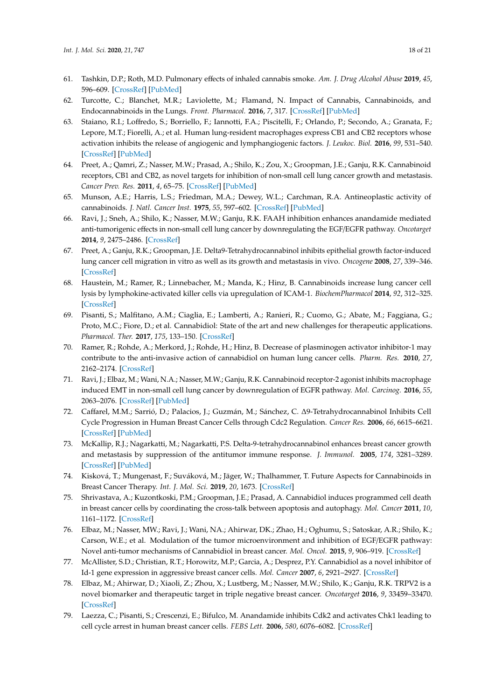- <span id="page-17-0"></span>61. Tashkin, D.P.; Roth, M.D. Pulmonary effects of inhaled cannabis smoke. *Am. J. Drug Alcohol Abuse* **2019**, *45*, 596–609. [\[CrossRef\]](http://dx.doi.org/10.1080/00952990.2019.1627366) [\[PubMed\]](http://www.ncbi.nlm.nih.gov/pubmed/31298945)
- <span id="page-17-1"></span>62. Turcotte, C.; Blanchet, M.R.; Laviolette, M.; Flamand, N. Impact of Cannabis, Cannabinoids, and Endocannabinoids in the Lungs. *Front. Pharmacol.* **2016**, *7*, 317. [\[CrossRef\]](http://dx.doi.org/10.3389/fphar.2016.00317) [\[PubMed\]](http://www.ncbi.nlm.nih.gov/pubmed/27695418)
- <span id="page-17-2"></span>63. Staiano, R.I.; Loffredo, S.; Borriello, F.; Iannotti, F.A.; Piscitelli, F.; Orlando, P.; Secondo, A.; Granata, F.; Lepore, M.T.; Fiorelli, A.; et al. Human lung-resident macrophages express CB1 and CB2 receptors whose activation inhibits the release of angiogenic and lymphangiogenic factors. *J. Leukoc. Biol.* **2016**, *99*, 531–540. [\[CrossRef\]](http://dx.doi.org/10.1189/jlb.3HI1214-584R) [\[PubMed\]](http://www.ncbi.nlm.nih.gov/pubmed/26467187)
- <span id="page-17-3"></span>64. Preet, A.; Qamri, Z.; Nasser, M.W.; Prasad, A.; Shilo, K.; Zou, X.; Groopman, J.E.; Ganju, R.K. Cannabinoid receptors, CB1 and CB2, as novel targets for inhibition of non-small cell lung cancer growth and metastasis. *Cancer Prev. Res.* **2011**, *4*, 65–75. [\[CrossRef\]](http://dx.doi.org/10.1158/1940-6207.CAPR-10-0181) [\[PubMed\]](http://www.ncbi.nlm.nih.gov/pubmed/21097714)
- <span id="page-17-4"></span>65. Munson, A.E.; Harris, L.S.; Friedman, M.A.; Dewey, W.L.; Carchman, R.A. Antineoplastic activity of cannabinoids. *J. Natl. Cancer Inst.* **1975**, *55*, 597–602. [\[CrossRef\]](http://dx.doi.org/10.1093/jnci/55.3.597) [\[PubMed\]](http://www.ncbi.nlm.nih.gov/pubmed/1159836)
- <span id="page-17-5"></span>66. Ravi, J.; Sneh, A.; Shilo, K.; Nasser, M.W.; Ganju, R.K. FAAH inhibition enhances anandamide mediated anti-tumorigenic effects in non-small cell lung cancer by downregulating the EGF/EGFR pathway. *Oncotarget* **2014**, *9*, 2475–2486. [\[CrossRef\]](http://dx.doi.org/10.18632/oncotarget.1723)
- <span id="page-17-6"></span>67. Preet, A.; Ganju, R.K.; Groopman, J.E. Delta9-Tetrahydrocannabinol inhibits epithelial growth factor-induced lung cancer cell migration in vitro as well as its growth and metastasis in vivo. *Oncogene* **2008**, *27*, 339–346. [\[CrossRef\]](http://dx.doi.org/10.1038/sj.onc.1210641)
- <span id="page-17-7"></span>68. Haustein, M.; Ramer, R.; Linnebacher, M.; Manda, K.; Hinz, B. Cannabinoids increase lung cancer cell lysis by lymphokine-activated killer cells via upregulation of ICAM-1. *BiochemPharmacol* **2014**, *92*, 312–325. [\[CrossRef\]](http://dx.doi.org/10.1016/j.bcp.2014.07.014)
- <span id="page-17-8"></span>69. Pisanti, S.; Malfitano, A.M.; Ciaglia, E.; Lamberti, A.; Ranieri, R.; Cuomo, G.; Abate, M.; Faggiana, G.; Proto, M.C.; Fiore, D.; et al. Cannabidiol: State of the art and new challenges for therapeutic applications. *Pharmacol. Ther.* **2017**, *175*, 133–150. [\[CrossRef\]](http://dx.doi.org/10.1016/j.pharmthera.2017.02.041)
- <span id="page-17-9"></span>70. Ramer, R.; Rohde, A.; Merkord, J.; Rohde, H.; Hinz, B. Decrease of plasminogen activator inhibitor-1 may contribute to the anti-invasive action of cannabidiol on human lung cancer cells. *Pharm. Res.* **2010**, *27*, 2162–2174. [\[CrossRef\]](http://dx.doi.org/10.1007/s11095-010-0219-2)
- <span id="page-17-10"></span>71. Ravi, J.; Elbaz, M.; Wani, N.A.; Nasser, M.W.; Ganju, R.K. Cannabinoid receptor-2 agonist inhibits macrophage induced EMT in non-small cell lung cancer by downregulation of EGFR pathway. *Mol. Carcinog.* **2016**, *55*, 2063–2076. [\[CrossRef\]](http://dx.doi.org/10.1002/mc.22451) [\[PubMed\]](http://www.ncbi.nlm.nih.gov/pubmed/26741322)
- <span id="page-17-11"></span>72. Caffarel, M.M.; Sarrió, D.; Palacios, J.; Guzmán, M.; Sánchez, C. ∆9-Tetrahydrocannabinol Inhibits Cell Cycle Progression in Human Breast Cancer Cells through Cdc2 Regulation. *Cancer Res.* **2006**, *66*, 6615–6621. [\[CrossRef\]](http://dx.doi.org/10.1158/0008-5472.CAN-05-4566) [\[PubMed\]](http://www.ncbi.nlm.nih.gov/pubmed/16818634)
- <span id="page-17-12"></span>73. McKallip, R.J.; Nagarkatti, M.; Nagarkatti, P.S. Delta-9-tetrahydrocannabinol enhances breast cancer growth and metastasis by suppression of the antitumor immune response. *J. Immunol.* **2005**, *174*, 3281–3289. [\[CrossRef\]](http://dx.doi.org/10.4049/jimmunol.174.6.3281) [\[PubMed\]](http://www.ncbi.nlm.nih.gov/pubmed/15749859)
- <span id="page-17-13"></span>74. Kisková, T.; Mungenast, F.; Suváková, M.; Jäger, W.; Thalhammer, T. Future Aspects for Cannabinoids in Breast Cancer Therapy. *Int. J. Mol. Sci.* **2019**, *20*, 1673. [\[CrossRef\]](http://dx.doi.org/10.3390/ijms20071673)
- <span id="page-17-14"></span>75. Shrivastava, A.; Kuzontkoski, P.M.; Groopman, J.E.; Prasad, A. Cannabidiol induces programmed cell death in breast cancer cells by coordinating the cross-talk between apoptosis and autophagy. *Mol. Cancer* **2011**, *10*, 1161–1172. [\[CrossRef\]](http://dx.doi.org/10.1158/1535-7163.MCT-10-1100)
- <span id="page-17-15"></span>76. Elbaz, M.; Nasser, MW.; Ravi, J.; Wani, NA.; Ahirwar, DK.; Zhao, H.; Oghumu, S.; Satoskar, A.R.; Shilo, K.; Carson, W.E.; et al. Modulation of the tumor microenvironment and inhibition of EGF/EGFR pathway: Novel anti-tumor mechanisms of Cannabidiol in breast cancer. *Mol. Oncol.* **2015**, *9*, 906–919. [\[CrossRef\]](http://dx.doi.org/10.1016/j.molonc.2014.12.010)
- <span id="page-17-16"></span>77. McAllister, S.D.; Christian, R.T.; Horowitz, M.P.; Garcia, A.; Desprez, P.Y. Cannabidiol as a novel inhibitor of Id-1 gene expression in aggressive breast cancer cells. *Mol. Cancer* **2007**, *6*, 2921–2927. [\[CrossRef\]](http://dx.doi.org/10.1158/1535-7163.MCT-07-0371)
- <span id="page-17-17"></span>78. Elbaz, M.; Ahirwar, D.; Xiaoli, Z.; Zhou, X.; Lustberg, M.; Nasser, M.W.; Shilo, K.; Ganju, R.K. TRPV2 is a novel biomarker and therapeutic target in triple negative breast cancer. *Oncotarget* **2016**, *9*, 33459–33470. [\[CrossRef\]](http://dx.doi.org/10.18632/oncotarget.9663)
- <span id="page-17-18"></span>79. Laezza, C.; Pisanti, S.; Crescenzi, E.; Bifulco, M. Anandamide inhibits Cdk2 and activates Chk1 leading to cell cycle arrest in human breast cancer cells. *FEBS Lett.* **2006**, *580*, 6076–6082. [\[CrossRef\]](http://dx.doi.org/10.1016/j.febslet.2006.09.074)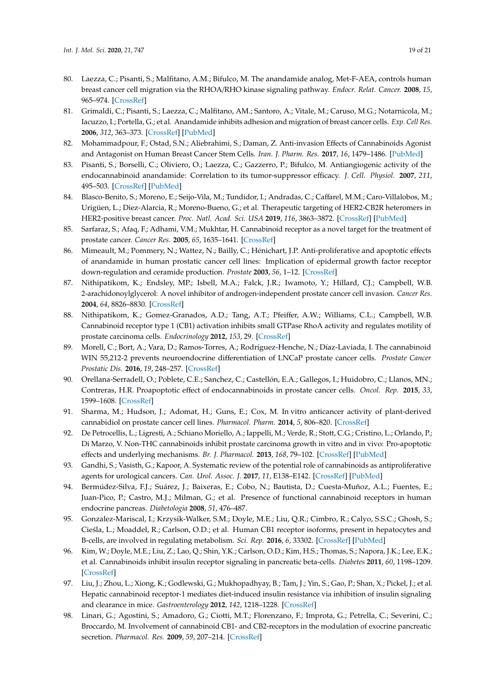- <span id="page-18-0"></span>80. Laezza, C.; Pisanti, S.; Malfitano, A.M.; Bifulco, M. The anandamide analog, Met-F-AEA, controls human breast cancer cell migration via the RHOA/RHO kinase signaling pathway. *Endocr. Relat. Cancer.* **2008**, *15*, 965–974. [\[CrossRef\]](http://dx.doi.org/10.1677/ERC-08-0030)
- <span id="page-18-1"></span>81. Grimaldi, C.; Pisanti, S.; Laezza, C.; Malfitano, AM.; Santoro, A.; Vitale, M.; Caruso, M.G.; Notarnicola, M.; Iacuzzo, I.; Portella, G.; et al. Anandamide inhibits adhesion and migration of breast cancer cells. *Exp. Cell Res.* **2006**, *312*, 363–373. [\[CrossRef\]](http://dx.doi.org/10.1016/j.yexcr.2005.10.024) [\[PubMed\]](http://www.ncbi.nlm.nih.gov/pubmed/16343481)
- <span id="page-18-2"></span>82. Mohammadpour, F.; Ostad, S.N.; Aliebrahimi, S.; Daman, Z. Anti-invasion Effects of Cannabinoids Agonist and Antagonist on Human Breast Cancer Stem Cells. *Iran. J. Pharm. Res.* **2017**, *16*, 1479–1486. [\[PubMed\]](http://www.ncbi.nlm.nih.gov/pubmed/29552056)
- <span id="page-18-3"></span>83. Pisanti, S.; Borselli, C.; Oliviero, O.; Laezza, C.; Gazzerro, P.; Bifulco, M. Antiangiogenic activity of the endocannabinoid anandamide: Correlation to its tumor-suppressor efficacy. *J. Cell. Physiol.* **2007**, *211*, 495–503. [\[CrossRef\]](http://dx.doi.org/10.1002/jcp.20954) [\[PubMed\]](http://www.ncbi.nlm.nih.gov/pubmed/17192847)
- <span id="page-18-4"></span>84. Blasco-Benito, S.; Moreno, E.; Seijo-Vila, M.; Tundidor, I.; Andradas, C.; Caffarel, M.M.; Caro-Villalobos, M.; Urigüen, L.; Diez-Alarcia, R.; Moreno-Bueno, G.; et al. Therapeutic targeting of HER2-CB2R heteromers in HER2-positive breast cancer. *Proc. Natl. Acad. Sci. USA* **2019**, *116*, 3863–3872. [\[CrossRef\]](http://dx.doi.org/10.1073/pnas.1815034116) [\[PubMed\]](http://www.ncbi.nlm.nih.gov/pubmed/30733293)
- <span id="page-18-5"></span>85. Sarfaraz, S.; Afaq, F.; Adhami, V.M.; Mukhtar, H. Cannabinoid receptor as a novel target for the treatment of prostate cancer. *Cancer Res.* **2005**, *65*, 1635–1641. [\[CrossRef\]](http://dx.doi.org/10.1158/0008-5472.CAN-04-3410)
- <span id="page-18-6"></span>86. Mimeault, M.; Pommery, N.; Wattez, N.; Bailly, C.; Hénichart, J.P. Anti-proliferative and apoptotic effects of anandamide in human prostatic cancer cell lines: Implication of epidermal growth factor receptor down-regulation and ceramide production. *Prostate* **2003**, *56*, 1–12. [\[CrossRef\]](http://dx.doi.org/10.1002/pros.10190)
- <span id="page-18-7"></span>87. Nithipatikom, K.; Endsley, MP.; Isbell, M.A.; Falck, J.R.; Iwamoto, Y.; Hillard, CJ.; Campbell, W.B. 2-arachidonoylglycerol: A novel inhibitor of androgen-independent prostate cancer cell invasion. *Cancer Res.* **2004**, *64*, 8826–8830. [\[CrossRef\]](http://dx.doi.org/10.1158/0008-5472.CAN-04-3136)
- <span id="page-18-8"></span>88. Nithipatikom, K.; Gomez-Granados, A.D.; Tang, A.T.; Pfeiffer, A.W.; Williams, C.L.; Campbell, W.B. Cannabinoid receptor type 1 (CB1) activation inhibits small GTPase RhoA activity and regulates motility of prostate carcinoma cells. *Endocrinology* **2012**, *153*, 29. [\[CrossRef\]](http://dx.doi.org/10.1210/en.2011-1144)
- <span id="page-18-9"></span>89. Morell, C.; Bort, A.; Vara, D.; Ramos-Torres, A.; Rodríguez-Henche, N.; Díaz-Laviada, I. The cannabinoid WIN 55,212-2 prevents neuroendocrine differentiation of LNCaP prostate cancer cells. *Prostate Cancer Prostatic Dis.* **2016**, *19*, 248–257. [\[CrossRef\]](http://dx.doi.org/10.1038/pcan.2016.19)
- <span id="page-18-10"></span>90. Orellana-Serradell, O.; Poblete, C.E.; Sanchez, C.; Castellón, E.A.; Gallegos, I.; Huidobro, C.; Llanos, MN.; Contreras, H.R. Proapoptotic effect of endocannabinoids in prostate cancer cells. *Oncol. Rep.* **2015**, *33*, 1599–1608. [\[CrossRef\]](http://dx.doi.org/10.3892/or.2015.3746)
- <span id="page-18-11"></span>91. Sharma, M.; Hudson, J.; Adomat, H.; Guns, E.; Cox, M. In vitro anticancer activity of plant-derived cannabidiol on prostate cancer cell lines. *Pharmacol. Pharm.* **2014**, *5*, 806–820. [\[CrossRef\]](http://dx.doi.org/10.4236/pp.2014.58091)
- <span id="page-18-12"></span>92. De Petrocellis, L.; Ligresti, A.; Schiano Moriello, A.; Iappelli, M.; Verde, R.; Stott, C.G.; Cristino, L.; Orlando, P.; Di Marzo, V. Non-THC cannabinoids inhibit prostate carcinoma growth in vitro and in vivo: Pro-apoptotic effects and underlying mechanisms. *Br. J. Pharmacol.* **2013**, *168*, 79–102. [\[CrossRef\]](http://dx.doi.org/10.1111/j.1476-5381.2012.02027.x) [\[PubMed\]](http://www.ncbi.nlm.nih.gov/pubmed/22594963)
- <span id="page-18-13"></span>93. Gandhi, S.; Vasisth, G.; Kapoor, A. Systematic review of the potential role of cannabinoids as antiproliferative agents for urological cancers. *Can. Urol. Assoc. J.* **2017**, *11*, E138–E142. [\[CrossRef\]](http://dx.doi.org/10.5489/cuaj.4371) [\[PubMed\]](http://www.ncbi.nlm.nih.gov/pubmed/28515817)
- <span id="page-18-14"></span>94. Bermúdez-Silva, F.J.; Suárez, J.; Baixeras, E.; Cobo, N.; Bautista, D.; Cuesta-Muñoz, A.L.; Fuentes, E.; Juan-Pico, P.; Castro, M.J.; Milman, G.; et al. Presence of functional cannabinoid receptors in human endocrine pancreas. *Diabetologia* **2008**, *51*, 476–487.
- 95. Gonzalez-Mariscal, I.; Krzysik-Walker, S.M.; Doyle, M.E.; Liu, Q.R.; Cimbro, R.; Calyo, S.S.C.; Ghosh, S.; Cieśla, L.; Moaddel, R.; Carlson, O.D.; et al. Human CB1 receptor isoforms, present in hepatocytes and B-cells, are involved in regulating metabolism. *Sci. Rep.* **2016**, *6*, 33302. [\[CrossRef\]](http://dx.doi.org/10.1038/srep33302) [\[PubMed\]](http://www.ncbi.nlm.nih.gov/pubmed/27641999)
- 96. Kim, W.; Doyle, M.E.; Liu, Z.; Lao, Q.; Shin, Y.K.; Carlson, O.D.; Kim, H.S.; Thomas, S.; Napora, J.K.; Lee, E.K.; et al. Cannabinoids inhibit insulin receptor signaling in pancreatic beta-cells. *Diabetes* **2011**, *60*, 1198–1209. [\[CrossRef\]](http://dx.doi.org/10.2337/db10-1550)
- 97. Liu, J.; Zhou, L.; Xiong, K.; Godlewski, G.; Mukhopadhyay, B.; Tam, J.; Yin, S.; Gao, P.; Shan, X.; Pickel, J.; et al. Hepatic cannabinoid receptor-1 mediates diet-induced insulin resistance via inhibition of insulin signaling and clearance in mice. *Gastroenterology* **2012**, *142*, 1218–1228. [\[CrossRef\]](http://dx.doi.org/10.1053/j.gastro.2012.01.032)
- <span id="page-18-15"></span>98. Linari, G.; Agostini, S.; Amadoro, G.; Ciotti, M.T.; Florenzano, F.; Improta, G.; Petrella, C.; Severini, C.; Broccardo, M. Involvement of cannabinoid CB1- and CB2-receptors in the modulation of exocrine pancreatic secretion. *Pharmacol. Res.* **2009**, *59*, 207–214. [\[CrossRef\]](http://dx.doi.org/10.1016/j.phrs.2008.11.002)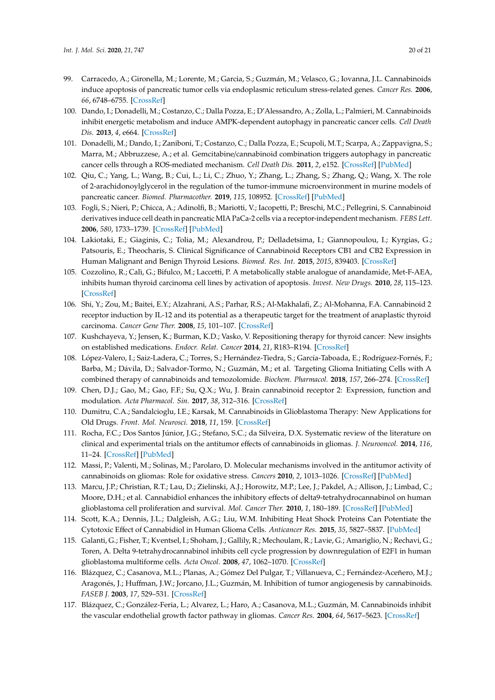- <span id="page-19-0"></span>99. Carracedo, A.; Gironella, M.; Lorente, M.; Garcia, S.; Guzmán, M.; Velasco, G.; Iovanna, J.L. Cannabinoids induce apoptosis of pancreatic tumor cells via endoplasmic reticulum stress-related genes. *Cancer Res.* **2006**, *66*, 6748–6755. [\[CrossRef\]](http://dx.doi.org/10.1158/0008-5472.CAN-06-0169)
- <span id="page-19-1"></span>100. Dando, I.; Donadelli, M.; Costanzo, C.; Dalla Pozza, E.; D'Alessandro, A.; Zolla, L.; Palmieri, M. Cannabinoids inhibit energetic metabolism and induce AMPK-dependent autophagy in pancreatic cancer cells. *Cell Death Dis.* **2013**, *4*, e664. [\[CrossRef\]](http://dx.doi.org/10.1038/cddis.2013.151)
- <span id="page-19-2"></span>101. Donadelli, M.; Dando, I.; Zaniboni, T.; Costanzo, C.; Dalla Pozza, E.; Scupoli, M.T.; Scarpa, A.; Zappavigna, S.; Marra, M.; Abbruzzese, A.; et al. Gemcitabine/cannabinoid combination triggers autophagy in pancreatic cancer cells through a ROS-mediated mechanism. *Cell Death Dis.* **2011**, *2*, e152. [\[CrossRef\]](http://dx.doi.org/10.1038/cddis.2011.36) [\[PubMed\]](http://www.ncbi.nlm.nih.gov/pubmed/21525939)
- <span id="page-19-3"></span>102. Qiu, C.; Yang, L.; Wang, B.; Cui, L.; Li, C.; Zhuo, Y.; Zhang, L.; Zhang, S.; Zhang, Q.; Wang, X. The role of 2-arachidonoylglycerol in the regulation of the tumor-immune microenvironment in murine models of pancreatic cancer. *Biomed. Pharmacother.* **2019**, *115*, 108952. [\[CrossRef\]](http://dx.doi.org/10.1016/j.biopha.2019.108952) [\[PubMed\]](http://www.ncbi.nlm.nih.gov/pubmed/31078044)
- <span id="page-19-4"></span>103. Fogli, S.; Nieri, P.; Chicca, A.; Adinolfi, B.; Mariotti, V.; Iacopetti, P.; Breschi, M.C.; Pellegrini, S. Cannabinoid derivatives induce cell death in pancreatic MIA PaCa-2 cells via a receptor-independent mechanism. *FEBS Lett.* **2006**, *580*, 1733–1739. [\[CrossRef\]](http://dx.doi.org/10.1016/j.febslet.2006.02.024) [\[PubMed\]](http://www.ncbi.nlm.nih.gov/pubmed/16500647)
- <span id="page-19-5"></span>104. Lakiotaki, E.; Giaginis, C.; Tolia, M.; Alexandrou, P.; Delladetsima, I.; Giannopoulou, I.; Kyrgias, G.; Patsouris, E.; Theocharis, S. Clinical Significance of Cannabinoid Receptors CB1 and CB2 Expression in Human Malignant and Benign Thyroid Lesions. *Biomed. Res. Int.* **2015**, *2015*, 839403. [\[CrossRef\]](http://dx.doi.org/10.1155/2015/839403)
- <span id="page-19-6"></span>105. Cozzolino, R.; Calì, G.; Bifulco, M.; Laccetti, P. A metabolically stable analogue of anandamide, Met-F-AEA, inhibits human thyroid carcinoma cell lines by activation of apoptosis. *Invest. New Drugs.* **2010**, *28*, 115–123. [\[CrossRef\]](http://dx.doi.org/10.1007/s10637-009-9221-0)
- <span id="page-19-7"></span>106. Shi, Y.; Zou, M.; Baitei, E.Y.; Alzahrani, A.S.; Parhar, R.S.; Al-Makhalafi, Z.; Al-Mohanna, F.A. Cannabinoid 2 receptor induction by IL-12 and its potential as a therapeutic target for the treatment of anaplastic thyroid carcinoma. *Cancer Gene Ther.* **2008**, *15*, 101–107. [\[CrossRef\]](http://dx.doi.org/10.1038/sj.cgt.7701101)
- <span id="page-19-8"></span>107. Kushchayeva, Y.; Jensen, K.; Burman, K.D.; Vasko, V. Repositioning therapy for thyroid cancer: New insights on established medications. *Endocr. Relat. Cancer* **2014**, *21*, R183–R194. [\[CrossRef\]](http://dx.doi.org/10.1530/ERC-13-0473)
- <span id="page-19-9"></span>108. López-Valero, I.; Saiz-Ladera, C.; Torres, S.; Hernández-Tiedra, S.; García-Taboada, E.; Rodríguez-Fornés, F.; Barba, M.; Dávila, D.; Salvador-Tormo, N.; Guzmán, M.; et al. Targeting Glioma Initiating Cells with A combined therapy of cannabinoids and temozolomide. *Biochem. Pharmacol.* **2018**, *157*, 266–274. [\[CrossRef\]](http://dx.doi.org/10.1016/j.bcp.2018.09.007)
- <span id="page-19-10"></span>109. Chen, D.J.; Gao, M.; Gao, F.F.; Su, Q.X.; Wu, J. Brain cannabinoid receptor 2: Expression, function and modulation. *Acta Pharmacol. Sin.* **2017**, *38*, 312–316. [\[CrossRef\]](http://dx.doi.org/10.1038/aps.2016.149)
- <span id="page-19-11"></span>110. Dumitru, C.A.; Sandalcioglu, I.E.; Karsak, M. Cannabinoids in Glioblastoma Therapy: New Applications for Old Drugs. *Front. Mol. Neurosci.* **2018**, *11*, 159. [\[CrossRef\]](http://dx.doi.org/10.3389/fnmol.2018.00159)
- <span id="page-19-12"></span>111. Rocha, F.C.; Dos Santos Júnior, J.G.; Stefano, S.C.; da Silveira, D.X. Systematic review of the literature on clinical and experimental trials on the antitumor effects of cannabinoids in gliomas. *J. Neurooncol.* **2014**, *116*, 11–24. [\[CrossRef\]](http://dx.doi.org/10.1007/s11060-013-1277-1) [\[PubMed\]](http://www.ncbi.nlm.nih.gov/pubmed/24142199)
- <span id="page-19-13"></span>112. Massi, P.; Valenti, M.; Solinas, M.; Parolaro, D. Molecular mechanisms involved in the antitumor activity of cannabinoids on gliomas: Role for oxidative stress. *Cancers* **2010**, *2*, 1013–1026. [\[CrossRef\]](http://dx.doi.org/10.3390/cancers2021013) [\[PubMed\]](http://www.ncbi.nlm.nih.gov/pubmed/24281104)
- <span id="page-19-14"></span>113. Marcu, J.P.; Christian, R.T.; Lau, D.; Zielinski, A.J.; Horowitz, M.P.; Lee, J.; Pakdel, A.; Allison, J.; Limbad, C.; Moore, D.H.; et al. Cannabidiol enhances the inhibitory effects of delta9-tetrahydrocannabinol on human glioblastoma cell proliferation and survival. *Mol. Cancer Ther.* **2010**, *1*, 180–189. [\[CrossRef\]](http://dx.doi.org/10.1158/1535-7163.MCT-09-0407) [\[PubMed\]](http://www.ncbi.nlm.nih.gov/pubmed/20053780)
- <span id="page-19-15"></span>114. Scott, K.A.; Dennis, J.L.; Dalgleish, A.G.; Liu, W.M. Inhibiting Heat Shock Proteins Can Potentiate the Cytotoxic Effect of Cannabidiol in Human Glioma Cells. *Anticancer Res.* **2015**, *35*, 5827–5837. [\[PubMed\]](http://www.ncbi.nlm.nih.gov/pubmed/26504004)
- <span id="page-19-16"></span>115. Galanti, G.; Fisher, T.; Kventsel, I.; Shoham, J.; Gallily, R.; Mechoulam, R.; Lavie, G.; Amariglio, N.; Rechavi, G.; Toren, A. Delta 9-tetrahydrocannabinol inhibits cell cycle progression by downregulation of E2F1 in human glioblastoma multiforme cells. *Acta Oncol.* **2008**, *47*, 1062–1070. [\[CrossRef\]](http://dx.doi.org/10.1080/02841860701678787)
- <span id="page-19-17"></span>116. Blázquez, C.; Casanova, M.L.; Planas, A.; Gómez Del Pulgar, T.; Villanueva, C.; Fernández-Aceñero, M.J.; Aragonés, J.; Huffman, J.W.; Jorcano, J.L.; Guzmán, M. Inhibition of tumor angiogenesis by cannabinoids. *FASEB J.* **2003**, *17*, 529–531. [\[CrossRef\]](http://dx.doi.org/10.1096/fj.02-0795fje)
- <span id="page-19-18"></span>117. Blázquez, C.; González-Feria, L.; Alvarez, L.; Haro, A.; Casanova, M.L.; Guzmán, M. Cannabinoids inhibit the vascular endothelial growth factor pathway in gliomas. *Cancer Res.* **2004**, *64*, 5617–5623. [\[CrossRef\]](http://dx.doi.org/10.1158/0008-5472.CAN-03-3927)